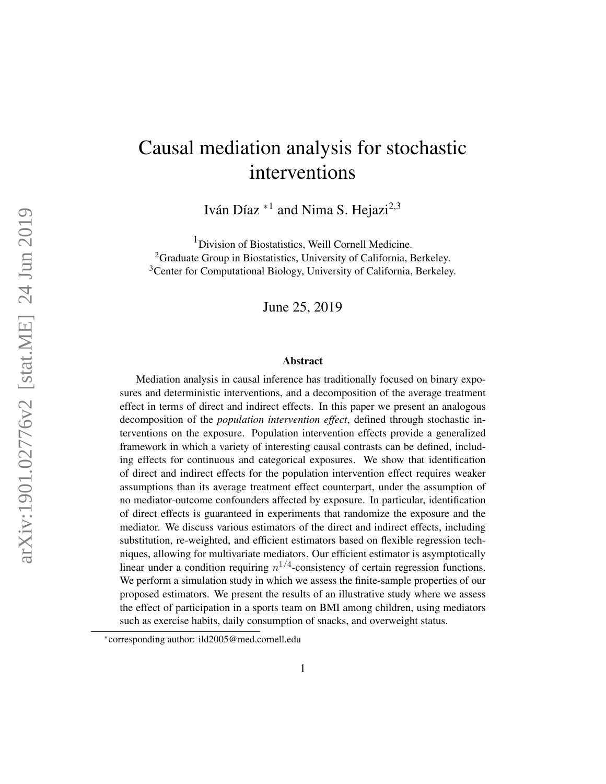# Causal mediation analysis for stochastic interventions

Iván Díaz  $*^1$  and Nima S. Hejazi<sup>2,3</sup>

<sup>1</sup> Division of Biostatistics, Weill Cornell Medicine. <sup>2</sup>Graduate Group in Biostatistics, University of California, Berkeley. <sup>3</sup>Center for Computational Biology, University of California, Berkeley.

June 25, 2019

#### Abstract

Mediation analysis in causal inference has traditionally focused on binary exposures and deterministic interventions, and a decomposition of the average treatment effect in terms of direct and indirect effects. In this paper we present an analogous decomposition of the *population intervention effect*, defined through stochastic interventions on the exposure. Population intervention effects provide a generalized framework in which a variety of interesting causal contrasts can be defined, including effects for continuous and categorical exposures. We show that identification of direct and indirect effects for the population intervention effect requires weaker assumptions than its average treatment effect counterpart, under the assumption of no mediator-outcome confounders affected by exposure. In particular, identification of direct effects is guaranteed in experiments that randomize the exposure and the mediator. We discuss various estimators of the direct and indirect effects, including substitution, re-weighted, and efficient estimators based on flexible regression techniques, allowing for multivariate mediators. Our efficient estimator is asymptotically linear under a condition requiring  $n^{1/4}$ -consistency of certain regression functions. We perform a simulation study in which we assess the finite-sample properties of our proposed estimators. We present the results of an illustrative study where we assess the effect of participation in a sports team on BMI among children, using mediators such as exercise habits, daily consumption of snacks, and overweight status.

<sup>∗</sup> corresponding author: ild2005@med.cornell.edu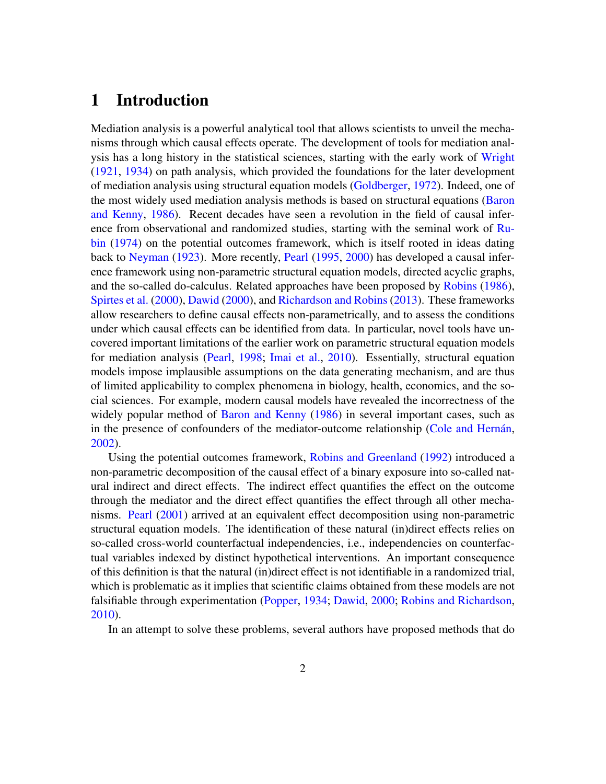## 1 Introduction

Mediation analysis is a powerful analytical tool that allows scientists to unveil the mechanisms through which causal effects operate. The development of tools for mediation analysis has a long history in the statistical sciences, starting with the early work of [Wright](#page-39-0) [\(1921,](#page-39-0) [1934\)](#page-40-0) on path analysis, which provided the foundations for the later development of mediation analysis using structural equation models [\(Goldberger,](#page-35-0) [1972\)](#page-35-0). Indeed, one of the most widely used mediation analysis methods is based on structural equations [\(Baron](#page-33-0) [and Kenny,](#page-33-0) [1986\)](#page-33-0). Recent decades have seen a revolution in the field of causal infer-ence from observational and randomized studies, starting with the seminal work of [Ru](#page-37-0)[bin](#page-37-0) [\(1974\)](#page-37-0) on the potential outcomes framework, which is itself rooted in ideas dating back to [Neyman](#page-36-0) [\(1923\)](#page-36-0). More recently, [Pearl](#page-36-1) [\(1995,](#page-36-1) [2000\)](#page-36-2) has developed a causal inference framework using non-parametric structural equation models, directed acyclic graphs, and the so-called do-calculus. Related approaches have been proposed by [Robins](#page-37-1) [\(1986\)](#page-37-1), [Spirtes et al.](#page-38-0) [\(2000\)](#page-38-0), [Dawid](#page-35-1) [\(2000\)](#page-35-1), and [Richardson and Robins](#page-37-2) [\(2013\)](#page-37-2). These frameworks allow researchers to define causal effects non-parametrically, and to assess the conditions under which causal effects can be identified from data. In particular, novel tools have uncovered important limitations of the earlier work on parametric structural equation models for mediation analysis [\(Pearl,](#page-36-3) [1998;](#page-36-3) [Imai et al.,](#page-35-2) [2010\)](#page-35-2). Essentially, structural equation models impose implausible assumptions on the data generating mechanism, and are thus of limited applicability to complex phenomena in biology, health, economics, and the social sciences. For example, modern causal models have revealed the incorrectness of the widely popular method of [Baron and Kenny](#page-33-0) [\(1986\)](#page-33-0) in several important cases, such as in the presence of confounders of the mediator-outcome relationship (Cole and Hernán, [2002\)](#page-34-0).

Using the potential outcomes framework, [Robins and Greenland](#page-37-3) [\(1992\)](#page-37-3) introduced a non-parametric decomposition of the causal effect of a binary exposure into so-called natural indirect and direct effects. The indirect effect quantifies the effect on the outcome through the mediator and the direct effect quantifies the effect through all other mechanisms. [Pearl](#page-36-4) [\(2001\)](#page-36-4) arrived at an equivalent effect decomposition using non-parametric structural equation models. The identification of these natural (in)direct effects relies on so-called cross-world counterfactual independencies, i.e., independencies on counterfactual variables indexed by distinct hypothetical interventions. An important consequence of this definition is that the natural (in)direct effect is not identifiable in a randomized trial, which is problematic as it implies that scientific claims obtained from these models are not falsifiable through experimentation [\(Popper,](#page-37-4) [1934;](#page-37-4) [Dawid,](#page-35-1) [2000;](#page-35-1) [Robins and Richardson,](#page-37-5) [2010\)](#page-37-5).

In an attempt to solve these problems, several authors have proposed methods that do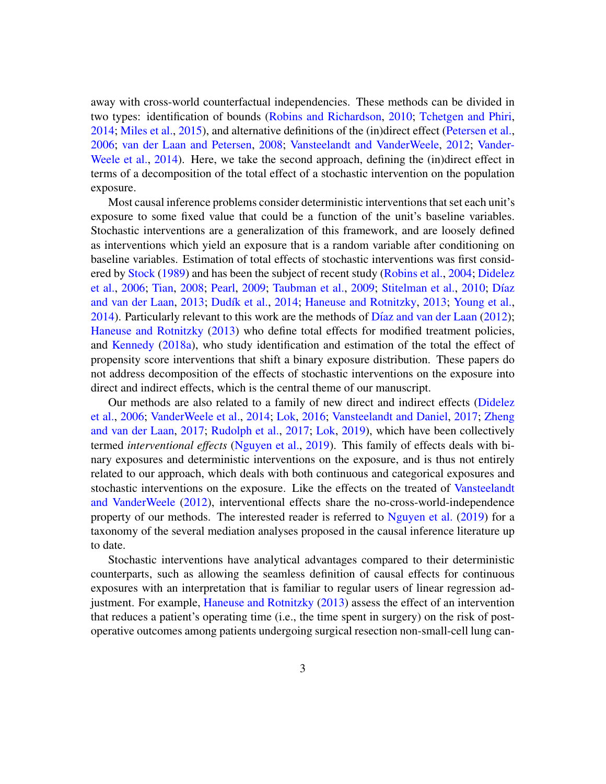away with cross-world counterfactual independencies. These methods can be divided in two types: identification of bounds [\(Robins and Richardson,](#page-37-5) [2010;](#page-37-5) [Tchetgen and Phiri,](#page-38-1) [2014;](#page-38-1) [Miles et al.,](#page-36-5) [2015\)](#page-36-5), and alternative definitions of the (in)direct effect [\(Petersen et al.,](#page-37-6) [2006;](#page-37-6) [van der Laan and Petersen,](#page-38-2) [2008;](#page-38-2) [Vansteelandt and VanderWeele,](#page-39-1) [2012;](#page-39-1) [Vander-](#page-39-2)[Weele et al.,](#page-39-2) [2014\)](#page-39-2). Here, we take the second approach, defining the (in)direct effect in terms of a decomposition of the total effect of a stochastic intervention on the population exposure.

Most causal inference problems consider deterministic interventions that set each unit's exposure to some fixed value that could be a function of the unit's baseline variables. Stochastic interventions are a generalization of this framework, and are loosely defined as interventions which yield an exposure that is a random variable after conditioning on baseline variables. Estimation of total effects of stochastic interventions was first considered by [Stock](#page-38-3) [\(1989\)](#page-38-3) and has been the subject of recent study [\(Robins et al.,](#page-37-7) [2004;](#page-37-7) [Didelez](#page-35-3) [et al.,](#page-35-3) [2006;](#page-35-3) [Tian,](#page-38-4) [2008;](#page-38-4) [Pearl,](#page-36-6) [2009;](#page-38-5) [Taubman et al.,](#page-38-5) 2009; [Stitelman et al.,](#page-38-6) [2010;](#page-38-6) Díaz [and van der Laan,](#page-35-4) [2013;](#page-35-6) Dudík et al., [2014;](#page-35-5) [Haneuse and Rotnitzky,](#page-35-6) 2013; [Young et al.,](#page-40-1) [2014\)](#page-40-1). Particularly relevant to this work are the methods of Díaz and van der Laan  $(2012)$ ; [Haneuse and Rotnitzky](#page-35-6) [\(2013\)](#page-35-6) who define total effects for modified treatment policies, and [Kennedy](#page-36-7) [\(2018a\)](#page-36-7), who study identification and estimation of the total the effect of propensity score interventions that shift a binary exposure distribution. These papers do not address decomposition of the effects of stochastic interventions on the exposure into direct and indirect effects, which is the central theme of our manuscript.

Our methods are also related to a family of new direct and indirect effects [\(Didelez](#page-35-3) [et al.,](#page-35-3) [2006;](#page-35-3) [VanderWeele et al.,](#page-39-2) [2014;](#page-39-2) [Lok,](#page-36-8) [2016;](#page-36-8) [Vansteelandt and Daniel,](#page-39-3) [2017;](#page-39-3) [Zheng](#page-40-2) [and van der Laan,](#page-40-2) [2017;](#page-40-2) [Rudolph et al.,](#page-37-8) [2017;](#page-37-8) [Lok,](#page-36-9) [2019\)](#page-36-9), which have been collectively termed *interventional effects* [\(Nguyen et al.,](#page-36-10) [2019\)](#page-36-10). This family of effects deals with binary exposures and deterministic interventions on the exposure, and is thus not entirely related to our approach, which deals with both continuous and categorical exposures and stochastic interventions on the exposure. Like the effects on the treated of [Vansteelandt](#page-39-1) [and VanderWeele](#page-39-1) [\(2012\)](#page-39-1), interventional effects share the no-cross-world-independence property of our methods. The interested reader is referred to [Nguyen et al.](#page-36-10) [\(2019\)](#page-36-10) for a taxonomy of the several mediation analyses proposed in the causal inference literature up to date.

Stochastic interventions have analytical advantages compared to their deterministic counterparts, such as allowing the seamless definition of causal effects for continuous exposures with an interpretation that is familiar to regular users of linear regression adjustment. For example, [Haneuse and Rotnitzky](#page-35-6) [\(2013\)](#page-35-6) assess the effect of an intervention that reduces a patient's operating time (i.e., the time spent in surgery) on the risk of postoperative outcomes among patients undergoing surgical resection non-small-cell lung can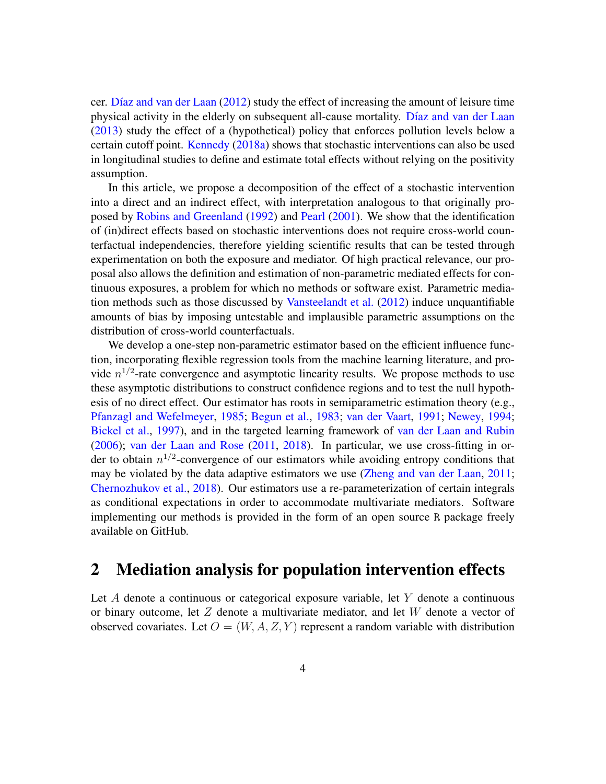cer. Díaz and van der Laan  $(2012)$  study the effect of increasing the amount of leisure time physical activity in the elderly on subsequent all-cause mortality. Díaz and van der Laan [\(2013\)](#page-35-4) study the effect of a (hypothetical) policy that enforces pollution levels below a certain cutoff point. [Kennedy](#page-36-7) [\(2018a\)](#page-36-7) shows that stochastic interventions can also be used in longitudinal studies to define and estimate total effects without relying on the positivity assumption.

In this article, we propose a decomposition of the effect of a stochastic intervention into a direct and an indirect effect, with interpretation analogous to that originally proposed by [Robins and Greenland](#page-37-3) [\(1992\)](#page-37-3) and [Pearl](#page-36-4) [\(2001\)](#page-36-4). We show that the identification of (in)direct effects based on stochastic interventions does not require cross-world counterfactual independencies, therefore yielding scientific results that can be tested through experimentation on both the exposure and mediator. Of high practical relevance, our proposal also allows the definition and estimation of non-parametric mediated effects for continuous exposures, a problem for which no methods or software exist. Parametric mediation methods such as those discussed by [Vansteelandt et al.](#page-39-4) [\(2012\)](#page-39-4) induce unquantifiable amounts of bias by imposing untestable and implausible parametric assumptions on the distribution of cross-world counterfactuals.

We develop a one-step non-parametric estimator based on the efficient influence function, incorporating flexible regression tools from the machine learning literature, and provide  $n^{1/2}$ -rate convergence and asymptotic linearity results. We propose methods to use these asymptotic distributions to construct confidence regions and to test the null hypothesis of no direct effect. Our estimator has roots in semiparametric estimation theory (e.g., [Pfanzagl and Wefelmeyer,](#page-37-9) [1985;](#page-37-9) [Begun et al.,](#page-33-1) [1983;](#page-33-1) [van der Vaart,](#page-39-5) [1991;](#page-39-5) [Newey,](#page-36-11) [1994;](#page-36-11) [Bickel et al.,](#page-34-1) [1997\)](#page-34-1), and in the targeted learning framework of [van der Laan and Rubin](#page-39-6) [\(2006\)](#page-39-6); [van der Laan and Rose](#page-38-7) [\(2011,](#page-38-7) [2018\)](#page-38-8). In particular, we use cross-fitting in order to obtain  $n^{1/2}$ -convergence of our estimators while avoiding entropy conditions that may be violated by the data adaptive estimators we use [\(Zheng and van der Laan,](#page-40-3) [2011;](#page-40-3) [Chernozhukov et al.,](#page-34-2) [2018\)](#page-34-2). Our estimators use a re-parameterization of certain integrals as conditional expectations in order to accommodate multivariate mediators. Software implementing our methods is provided in the form of an open source R package freely available on GitHub.

### 2 Mediation analysis for population intervention effects

Let  $A$  denote a continuous or categorical exposure variable, let  $Y$  denote a continuous or binary outcome, let  $Z$  denote a multivariate mediator, and let  $W$  denote a vector of observed covariates. Let  $O = (W, A, Z, Y)$  represent a random variable with distribution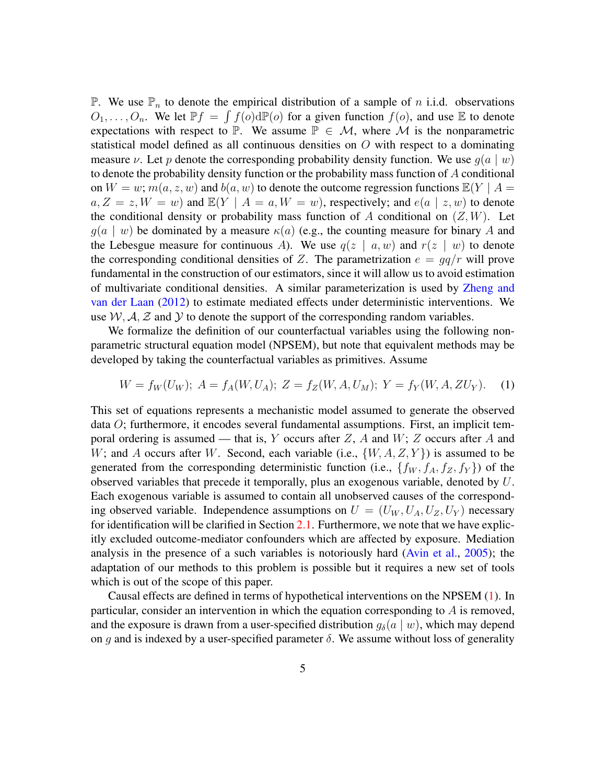P. We use  $\mathbb{P}_n$  to denote the empirical distribution of a sample of n i.i.d. observations  $O_1, \ldots, O_n$ . We let  $\mathbb{P}f = \int f(o) d\mathbb{P}(o)$  for a given function  $f(o)$ , and use E to denote expectations with respect to P. We assume  $P \in \mathcal{M}$ , where M is the nonparametric statistical model defined as all continuous densities on  $O$  with respect to a dominating measure v. Let p denote the corresponding probability density function. We use  $g(a | w)$ to denote the probability density function or the probability mass function of A conditional on  $W = w$ ;  $m(a, z, w)$  and  $b(a, w)$  to denote the outcome regression functions  $\mathbb{E}(Y \mid A =$  $a, Z = z, W = w$ ) and  $\mathbb{E}(Y | A = a, W = w)$ , respectively; and  $e(a | z, w)$  to denote the conditional density or probability mass function of A conditional on  $(Z, W)$ . Let  $g(a \mid w)$  be dominated by a measure  $\kappa(a)$  (e.g., the counting measure for binary A and the Lebesgue measure for continuous A). We use  $q(z \mid a, w)$  and  $r(z \mid w)$  to denote the corresponding conditional densities of Z. The parametrization  $e = \frac{qq}{r}$  will prove fundamental in the construction of our estimators, since it will allow us to avoid estimation of multivariate conditional densities. A similar parameterization is used by [Zheng and](#page-40-4) [van der Laan](#page-40-4) [\(2012\)](#page-40-4) to estimate mediated effects under deterministic interventions. We use  $W, A, Z$  and Y to denote the support of the corresponding random variables.

We formalize the definition of our counterfactual variables using the following nonparametric structural equation model (NPSEM), but note that equivalent methods may be developed by taking the counterfactual variables as primitives. Assume

<span id="page-4-0"></span>
$$
W = f_W(U_W); A = f_A(W, U_A); Z = f_Z(W, A, U_M); Y = f_Y(W, A, ZU_Y).
$$
 (1)

This set of equations represents a mechanistic model assumed to generate the observed data O; furthermore, it encodes several fundamental assumptions. First, an implicit temporal ordering is assumed — that is, Y occurs after  $Z$ , A and  $W$ ; Z occurs after A and W; and A occurs after W. Second, each variable (i.e.,  $\{W, A, Z, Y\}$ ) is assumed to be generated from the corresponding deterministic function (i.e.,  $\{f_W, f_A, f_Z, f_Y\}$ ) of the observed variables that precede it temporally, plus an exogenous variable, denoted by U. Each exogenous variable is assumed to contain all unobserved causes of the corresponding observed variable. Independence assumptions on  $U = (U_W, U_A, U_Z, U_Y)$  necessary for identification will be clarified in Section [2.1.](#page-8-0) Furthermore, we note that we have explicitly excluded outcome-mediator confounders which are affected by exposure. Mediation analysis in the presence of a such variables is notoriously hard [\(Avin et al.,](#page-33-2) [2005\)](#page-33-2); the adaptation of our methods to this problem is possible but it requires a new set of tools which is out of the scope of this paper.

Causal effects are defined in terms of hypothetical interventions on the NPSEM [\(1\)](#page-4-0). In particular, consider an intervention in which the equation corresponding to  $\vec{A}$  is removed, and the exposure is drawn from a user-specified distribution  $g_{\delta}(a | w)$ , which may depend on g and is indexed by a user-specified parameter  $\delta$ . We assume without loss of generality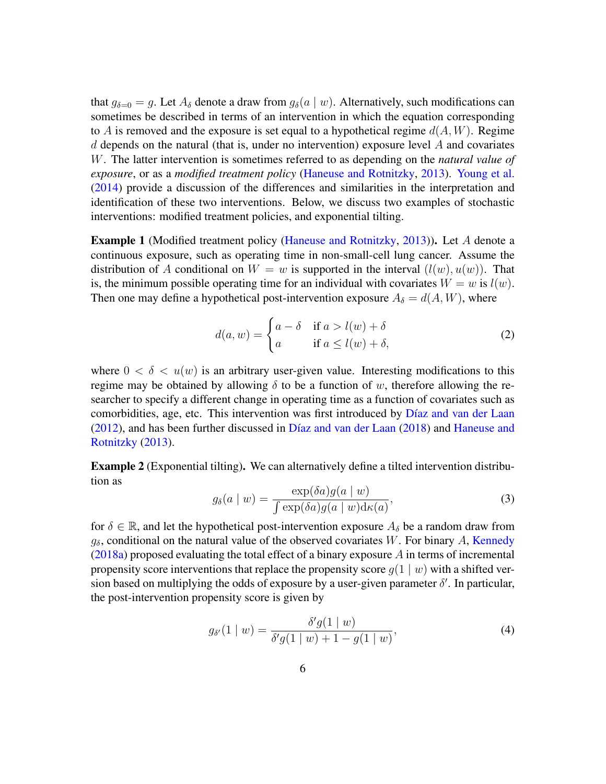that  $g_{\delta=0} = g$ . Let  $A_{\delta}$  denote a draw from  $g_{\delta}(a \mid w)$ . Alternatively, such modifications can sometimes be described in terms of an intervention in which the equation corresponding to A is removed and the exposure is set equal to a hypothetical regime  $d(A, W)$ . Regime  $d$  depends on the natural (that is, under no intervention) exposure level  $A$  and covariates W. The latter intervention is sometimes referred to as depending on the *natural value of exposure*, or as a *modified treatment policy* [\(Haneuse and Rotnitzky,](#page-35-6) [2013\)](#page-35-6). [Young et al.](#page-40-1) [\(2014\)](#page-40-1) provide a discussion of the differences and similarities in the interpretation and identification of these two interventions. Below, we discuss two examples of stochastic interventions: modified treatment policies, and exponential tilting.

<span id="page-5-1"></span>Example 1 (Modified treatment policy [\(Haneuse and Rotnitzky,](#page-35-6) [2013\)](#page-35-6)). Let A denote a continuous exposure, such as operating time in non-small-cell lung cancer. Assume the distribution of A conditional on  $W = w$  is supported in the interval  $(l(w), u(w))$ . That is, the minimum possible operating time for an individual with covariates  $W = w$  is  $l(w)$ . Then one may define a hypothetical post-intervention exposure  $A_{\delta} = d(A, W)$ , where

$$
d(a, w) = \begin{cases} a - \delta & \text{if } a > l(w) + \delta \\ a & \text{if } a \le l(w) + \delta, \end{cases}
$$
 (2)

where  $0 < \delta < u(w)$  is an arbitrary user-given value. Interesting modifications to this regime may be obtained by allowing  $\delta$  to be a function of w, therefore allowing the researcher to specify a different change in operating time as a function of covariates such as comorbidities, age, etc. This intervention was first introduced by Díaz and van der Laan  $(2012)$ , and has been further discussed in Díaz and van der Laan  $(2018)$  and [Haneuse and](#page-35-6) [Rotnitzky](#page-35-6) [\(2013\)](#page-35-6).

<span id="page-5-3"></span>Example 2 (Exponential tilting). We can alternatively define a tilted intervention distribution as

<span id="page-5-0"></span>
$$
g_{\delta}(a \mid w) = \frac{\exp(\delta a)g(a \mid w)}{\int \exp(\delta a)g(a \mid w)\mathrm{d}\kappa(a)},\tag{3}
$$

for  $\delta \in \mathbb{R}$ , and let the hypothetical post-intervention exposure  $A_{\delta}$  be a random draw from  $g_\delta$ , conditional on the natural value of the observed covariates W. For binary A, [Kennedy](#page-36-7)  $(2018a)$  proposed evaluating the total effect of a binary exposure A in terms of incremental propensity score interventions that replace the propensity score  $q(1 | w)$  with a shifted version based on multiplying the odds of exposure by a user-given parameter  $\delta'$ . In particular, the post-intervention propensity score is given by

<span id="page-5-2"></span>
$$
g_{\delta'}(1 \mid w) = \frac{\delta' g(1 \mid w)}{\delta' g(1 \mid w) + 1 - g(1 \mid w)},\tag{4}
$$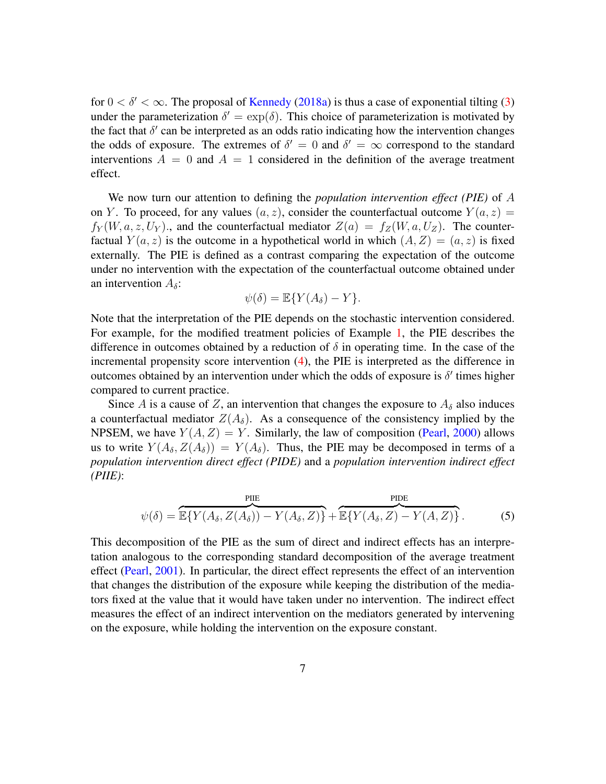for  $0 < \delta' < \infty$ . The proposal of [Kennedy](#page-36-7) [\(2018a\)](#page-36-7) is thus a case of exponential tilting [\(3\)](#page-5-0) under the parameterization  $\delta' = \exp(\delta)$ . This choice of parameterization is motivated by the fact that  $\delta'$  can be interpreted as an odds ratio indicating how the intervention changes the odds of exposure. The extremes of  $\delta' = 0$  and  $\delta' = \infty$  correspond to the standard interventions  $A = 0$  and  $A = 1$  considered in the definition of the average treatment effect.

We now turn our attention to defining the *population intervention effect (PIE)* of A on Y. To proceed, for any values  $(a, z)$ , consider the counterfactual outcome  $Y(a, z) =$  $f_Y(W, a, z, U_Y)$ , and the counterfactual mediator  $Z(a) = f_Z(W, a, U_Z)$ . The counterfactual  $Y(a, z)$  is the outcome in a hypothetical world in which  $(A, Z) = (a, z)$  is fixed externally. The PIE is defined as a contrast comparing the expectation of the outcome under no intervention with the expectation of the counterfactual outcome obtained under an intervention  $A_{\delta}$ :

$$
\psi(\delta) = \mathbb{E}\{Y(A_{\delta}) - Y\}.
$$

Note that the interpretation of the PIE depends on the stochastic intervention considered. For example, for the modified treatment policies of Example [1,](#page-5-1) the PIE describes the difference in outcomes obtained by a reduction of  $\delta$  in operating time. In the case of the incremental propensity score intervention [\(4\)](#page-5-2), the PIE is interpreted as the difference in outcomes obtained by an intervention under which the odds of exposure is  $\delta'$  times higher compared to current practice.

Since A is a cause of Z, an intervention that changes the exposure to  $A_{\delta}$  also induces a counterfactual mediator  $Z(A_\delta)$ . As a consequence of the consistency implied by the NPSEM, we have  $Y(A, Z) = Y$ . Similarly, the law of composition [\(Pearl,](#page-36-2) [2000\)](#page-36-2) allows us to write  $Y(A_\delta, Z(A_\delta)) = Y(A_\delta)$ . Thus, the PIE may be decomposed in terms of a *population intervention direct effect (PIDE)* and a *population intervention indirect effect (PIIE)*:

<span id="page-6-0"></span>
$$
\psi(\delta) = \overbrace{\mathbb{E}\{Y(A_{\delta}, Z(A_{\delta})) - Y(A_{\delta}, Z)\}^{\text{PIIE}} + \overbrace{\mathbb{E}\{Y(A_{\delta}, Z) - Y(A, Z)\}}^{\text{PIDE}}.
$$
\n(5)

This decomposition of the PIE as the sum of direct and indirect effects has an interpretation analogous to the corresponding standard decomposition of the average treatment effect [\(Pearl,](#page-36-4) [2001\)](#page-36-4). In particular, the direct effect represents the effect of an intervention that changes the distribution of the exposure while keeping the distribution of the mediators fixed at the value that it would have taken under no intervention. The indirect effect measures the effect of an indirect intervention on the mediators generated by intervening on the exposure, while holding the intervention on the exposure constant.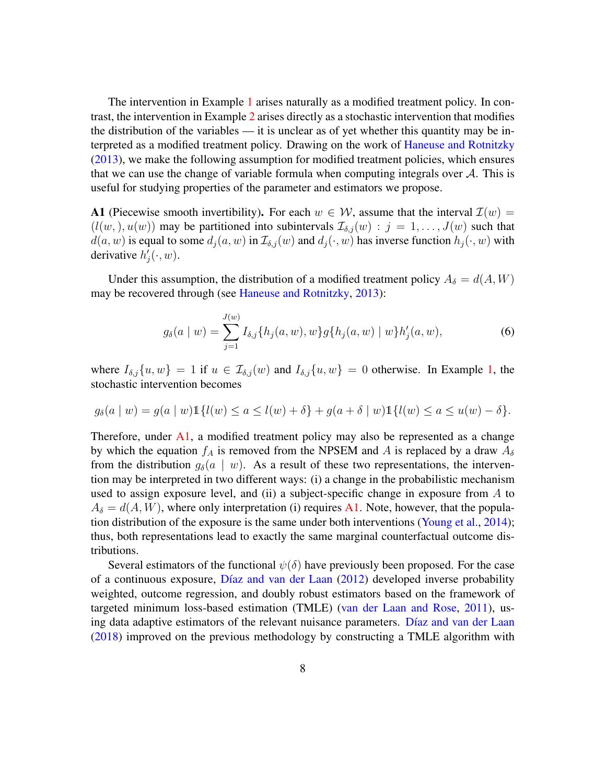The intervention in Example [1](#page-5-1) arises naturally as a modified treatment policy. In contrast, the intervention in Example [2](#page-5-3) arises directly as a stochastic intervention that modifies the distribution of the variables — it is unclear as of yet whether this quantity may be interpreted as a modified treatment policy. Drawing on the work of [Haneuse and Rotnitzky](#page-35-6) [\(2013\)](#page-35-6), we make the following assumption for modified treatment policies, which ensures that we can use the change of variable formula when computing integrals over  $A$ . This is useful for studying properties of the parameter and estimators we propose.

<span id="page-7-0"></span>A1 (Piecewise smooth invertibility). For each  $w \in W$ , assume that the interval  $\mathcal{I}(w) =$  $(l(w,), u(w))$  may be partitioned into subintervals  $\mathcal{I}_{\delta,i}(w) : j = 1, \ldots, J(w)$  such that  $d(a, w)$  is equal to some  $d_j(a, w)$  in  $\mathcal{I}_{\delta,j}(w)$  and  $d_j(\cdot, w)$  has inverse function  $h_j(\cdot, w)$  with derivative  $h'_j(\cdot, w)$ .

Under this assumption, the distribution of a modified treatment policy  $A_{\delta} = d(A, W)$ may be recovered through (see [Haneuse and Rotnitzky,](#page-35-6) [2013\)](#page-35-6):

<span id="page-7-1"></span>
$$
g_{\delta}(a \mid w) = \sum_{j=1}^{J(w)} I_{\delta,j} \{ h_j(a, w), w \} g \{ h_j(a, w) \mid w \} h'_j(a, w), \tag{6}
$$

where  $I_{\delta,j}\{u,w\} = 1$  if  $u \in \mathcal{I}_{\delta,j}(w)$  and  $I_{\delta,j}\{u,w\} = 0$  otherwise. In Example [1,](#page-5-1) the stochastic intervention becomes

$$
g_{\delta}(a \mid w) = g(a \mid w) 1\{l(w) \le a \le l(w) + \delta\} + g(a + \delta \mid w) 1\{l(w) \le a \le u(w) - \delta\}.
$$

Therefore, under [A1,](#page-7-0) a modified treatment policy may also be represented as a change by which the equation  $f_A$  is removed from the NPSEM and A is replaced by a draw  $A_\delta$ from the distribution  $g_{\delta}(a \mid w)$ . As a result of these two representations, the intervention may be interpreted in two different ways: (i) a change in the probabilistic mechanism used to assign exposure level, and (ii) a subject-specific change in exposure from  $A$  to  $A_{\delta} = d(A, W)$ , where only interpretation (i) requires [A1.](#page-7-0) Note, however, that the population distribution of the exposure is the same under both interventions [\(Young et al.,](#page-40-1) [2014\)](#page-40-1); thus, both representations lead to exactly the same marginal counterfactual outcome distributions.

Several estimators of the functional  $\psi(\delta)$  have previously been proposed. For the case of a continuous exposure, Díaz and van der Laan  $(2012)$  developed inverse probability weighted, outcome regression, and doubly robust estimators based on the framework of targeted minimum loss-based estimation (TMLE) [\(van der Laan and Rose,](#page-38-7) [2011\)](#page-38-7), using data adaptive estimators of the relevant nuisance parameters. Díaz and van der Laan [\(2018\)](#page-35-8) improved on the previous methodology by constructing a TMLE algorithm with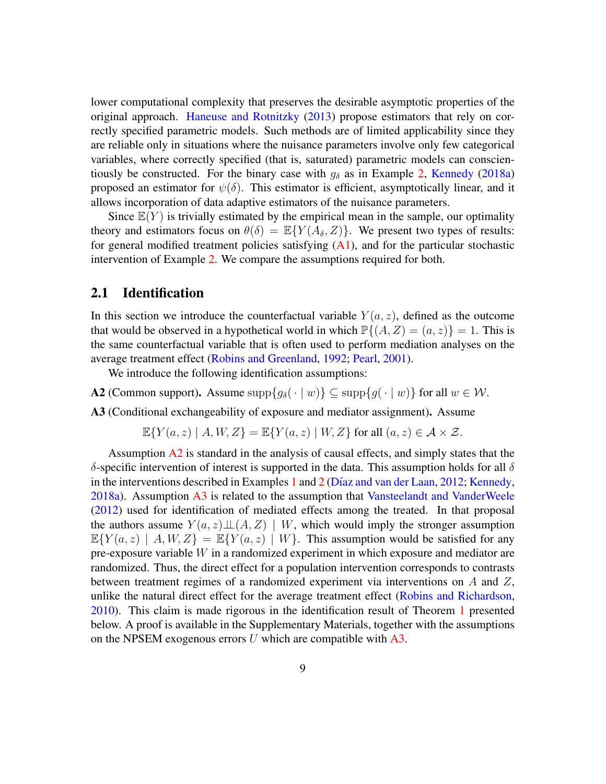lower computational complexity that preserves the desirable asymptotic properties of the original approach. [Haneuse and Rotnitzky](#page-35-6) [\(2013\)](#page-35-6) propose estimators that rely on correctly specified parametric models. Such methods are of limited applicability since they are reliable only in situations where the nuisance parameters involve only few categorical variables, where correctly specified (that is, saturated) parametric models can conscientiously be constructed. For the binary case with  $g_\delta$  as in Example [2,](#page-5-3) [Kennedy](#page-36-7) [\(2018a\)](#page-36-7) proposed an estimator for  $\psi(\delta)$ . This estimator is efficient, asymptotically linear, and it allows incorporation of data adaptive estimators of the nuisance parameters.

Since  $\mathbb{E}(Y)$  is trivially estimated by the empirical mean in the sample, our optimality theory and estimators focus on  $\theta(\delta) = \mathbb{E}\{Y(A_{\delta}, Z)\}\.$  We present two types of results: for general modified treatment policies satisfying  $(A1)$ , and for the particular stochastic intervention of Example [2.](#page-5-3) We compare the assumptions required for both.

#### <span id="page-8-0"></span>2.1 Identification

In this section we introduce the counterfactual variable  $Y(a, z)$ , defined as the outcome that would be observed in a hypothetical world in which  $\mathbb{P}\{(A, Z) = (a, z)\} = 1$ . This is the same counterfactual variable that is often used to perform mediation analyses on the average treatment effect [\(Robins and Greenland,](#page-37-3) [1992;](#page-37-3) [Pearl,](#page-36-4) [2001\)](#page-36-4).

We introduce the following identification assumptions:

<span id="page-8-1"></span>**A2** (Common support). Assume supp ${g_\delta(\cdot | w)} \subseteq \text{supp}{g(\cdot | w)}$  for all  $w \in \mathcal{W}$ .

<span id="page-8-2"></span>A3 (Conditional exchangeability of exposure and mediator assignment). Assume

 $\mathbb{E}\{Y(a,z) \mid A, W, Z\} = \mathbb{E}\{Y(a,z) \mid W, Z\}$  for all  $(a, z) \in \mathcal{A} \times \mathcal{Z}$ .

Assumption [A2](#page-8-1) is standard in the analysis of causal effects, and simply states that the δ-specific intervention of interest is supported in the data. This assumption holds for all δ in the interventions described in Examples [1](#page-5-1) and [2](#page-5-3) (Díaz and van der Laan, [2012;](#page-35-7) [Kennedy,](#page-36-7) [2018a\)](#page-36-7). Assumption [A3](#page-8-2) is related to the assumption that [Vansteelandt and VanderWeele](#page-39-1) [\(2012\)](#page-39-1) used for identification of mediated effects among the treated. In that proposal the authors assume  $Y(a, z) \perp (A, Z) \mid W$ , which would imply the stronger assumption  $\mathbb{E}{Y(a,z) | A, W, Z} = \mathbb{E}{Y(a,z) | W}$ . This assumption would be satisfied for any pre-exposure variable W in a randomized experiment in which exposure and mediator are randomized. Thus, the direct effect for a population intervention corresponds to contrasts between treatment regimes of a randomized experiment via interventions on A and Z, unlike the natural direct effect for the average treatment effect [\(Robins and Richardson,](#page-37-5) [2010\)](#page-37-5). This claim is made rigorous in the identification result of Theorem [1](#page-9-0) presented below. A proof is available in the Supplementary Materials, together with the assumptions on the NPSEM exogenous errors  $U$  which are compatible with  $A3$ .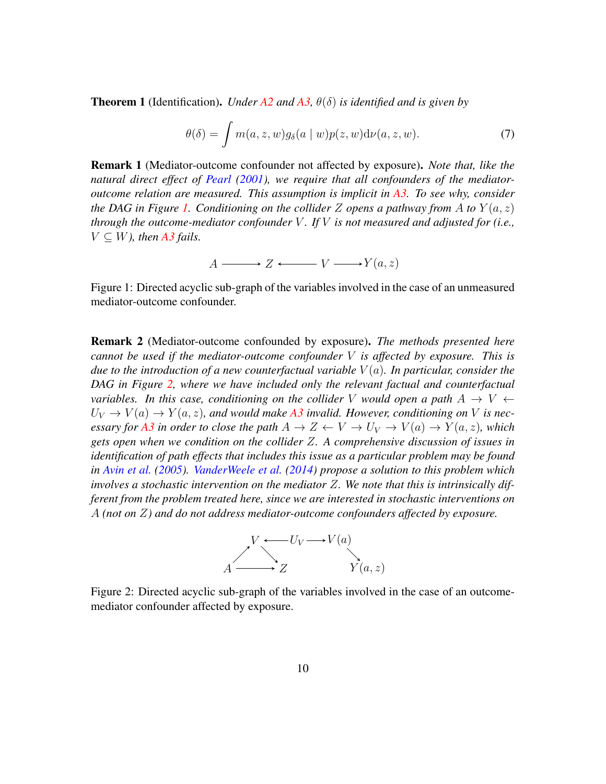<span id="page-9-0"></span>**Theorem 1** (Identification). *Under*  $A2$  *and*  $A3$ ,  $\theta(\delta)$  *is identified and is given by* 

<span id="page-9-3"></span>
$$
\theta(\delta) = \int m(a, z, w) g_{\delta}(a \mid w) p(z, w) d\nu(a, z, w). \tag{7}
$$

Remark 1 (Mediator-outcome confounder not affected by exposure). *Note that, like the natural direct effect of [Pearl](#page-36-4) [\(2001\)](#page-36-4), we require that all confounders of the mediatoroutcome relation are measured. This assumption is implicit in [A3.](#page-8-2) To see why, consider the DAG in Figure [1.](#page-9-1) Conditioning on the collider* Z *opens a pathway from* A *to*  $Y(a, z)$ *through the outcome-mediator confounder* V *. If* V *is not measured and adjusted for (i.e.,*  $V \subseteq W$ *), then [A3](#page-8-2) fails.* 

$$
A \longrightarrow Z \longleftarrow V \longrightarrow Y(a, z)
$$

<span id="page-9-1"></span>Figure 1: Directed acyclic sub-graph of the variables involved in the case of an unmeasured mediator-outcome confounder.

Remark 2 (Mediator-outcome confounded by exposure). *The methods presented here cannot be used if the mediator-outcome confounder* V *is affected by exposure. This is due to the introduction of a new counterfactual variable*  $V(a)$ *. In particular, consider the DAG in Figure [2,](#page-9-2) where we have included only the relevant factual and counterfactual variables. In this case, conditioning on the collider* V *would open a path*  $A \rightarrow V$   $\leftarrow$  $U_V \rightarrow V(a) \rightarrow Y(a, z)$ , and would make [A3](#page-8-2) invalid. However, conditioning on V is nec*essary for* [A3](#page-8-2) *in order to close the path*  $A \to Z \leftarrow V \to U_V \to V(a) \to Y(a, z)$ *, which gets open when we condition on the collider* Z*. A comprehensive discussion of issues in identification of path effects that includes this issue as a particular problem may be found in [Avin et al.](#page-33-2) [\(2005\)](#page-33-2). [VanderWeele et al.](#page-39-2) [\(2014\)](#page-39-2) propose a solution to this problem which involves a stochastic intervention on the mediator* Z*. We note that this is intrinsically different from the problem treated here, since we are interested in stochastic interventions on* A *(not on* Z*) and do not address mediator-outcome confounders affected by exposure.*



<span id="page-9-2"></span>Figure 2: Directed acyclic sub-graph of the variables involved in the case of an outcomemediator confounder affected by exposure.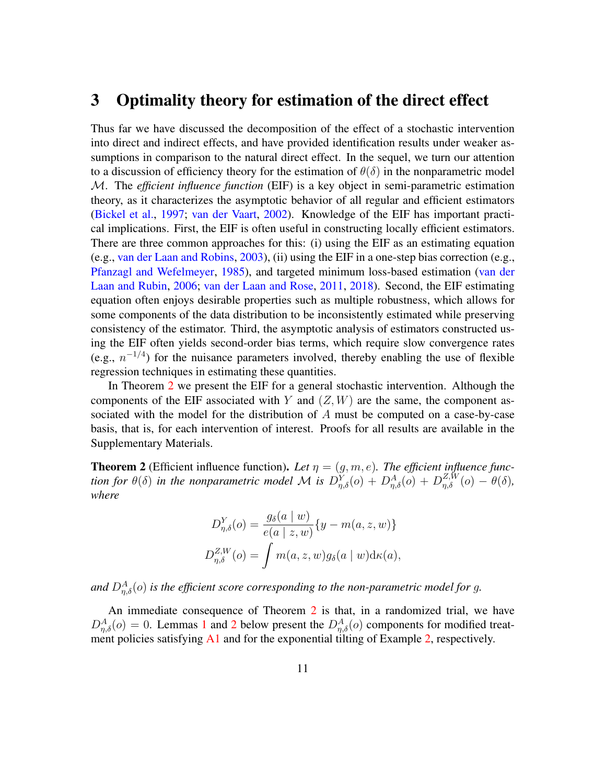### 3 Optimality theory for estimation of the direct effect

Thus far we have discussed the decomposition of the effect of a stochastic intervention into direct and indirect effects, and have provided identification results under weaker assumptions in comparison to the natural direct effect. In the sequel, we turn our attention to a discussion of efficiency theory for the estimation of  $\theta(\delta)$  in the nonparametric model M. The *efficient influence function* (EIF) is a key object in semi-parametric estimation theory, as it characterizes the asymptotic behavior of all regular and efficient estimators [\(Bickel et al.,](#page-34-1) [1997;](#page-34-1) [van der Vaart,](#page-39-7) [2002\)](#page-39-7). Knowledge of the EIF has important practical implications. First, the EIF is often useful in constructing locally efficient estimators. There are three common approaches for this: (i) using the EIF as an estimating equation (e.g., [van der Laan and Robins,](#page-38-9) [2003\)](#page-38-9), (ii) using the EIF in a one-step bias correction (e.g., [Pfanzagl and Wefelmeyer,](#page-37-9) [1985\)](#page-37-9), and targeted minimum loss-based estimation [\(van der](#page-39-6) [Laan and Rubin,](#page-39-6) [2006;](#page-39-6) [van der Laan and Rose,](#page-38-7) [2011,](#page-38-7) [2018\)](#page-38-8). Second, the EIF estimating equation often enjoys desirable properties such as multiple robustness, which allows for some components of the data distribution to be inconsistently estimated while preserving consistency of the estimator. Third, the asymptotic analysis of estimators constructed using the EIF often yields second-order bias terms, which require slow convergence rates (e.g.,  $n^{-1/4}$ ) for the nuisance parameters involved, thereby enabling the use of flexible regression techniques in estimating these quantities.

In Theorem [2](#page-10-0) we present the EIF for a general stochastic intervention. Although the components of the EIF associated with Y and  $(Z, W)$  are the same, the component associated with the model for the distribution of A must be computed on a case-by-case basis, that is, for each intervention of interest. Proofs for all results are available in the Supplementary Materials.

<span id="page-10-0"></span>**Theorem 2** (Efficient influence function). Let  $\eta = (g, m, e)$ . The efficient influence func*tion for*  $\theta(\delta)$  *in the nonparametric model* M *is*  $D_{\eta,\delta}^Y(o) + D_{\eta,\delta}^A(o) + D_{\eta,\delta}^{Z,W}(o) - \theta(\delta)$ , *where*

$$
D_{\eta,\delta}^Y(o) = \frac{g_\delta(a \mid w)}{e(a \mid z, w)} \{y - m(a, z, w)\}
$$
  

$$
D_{\eta,\delta}^{Z,W}(o) = \int m(a, z, w) g_\delta(a \mid w) d\kappa(a),
$$

and  $D_{\eta,\delta}^{A}(o)$  is the efficient score corresponding to the non-parametric model for g.

An immediate consequence of Theorem [2](#page-10-0) is that, in a randomized trial, we have  $D_{\eta,\delta}^A(o) = 0$ . Lemmas [1](#page-11-0) and [2](#page-11-1) below present the  $D_{\eta,\delta}^A(o)$  components for modified treat-ment policies satisfying [A1](#page-7-0) and for the exponential tilting of Example [2,](#page-5-3) respectively.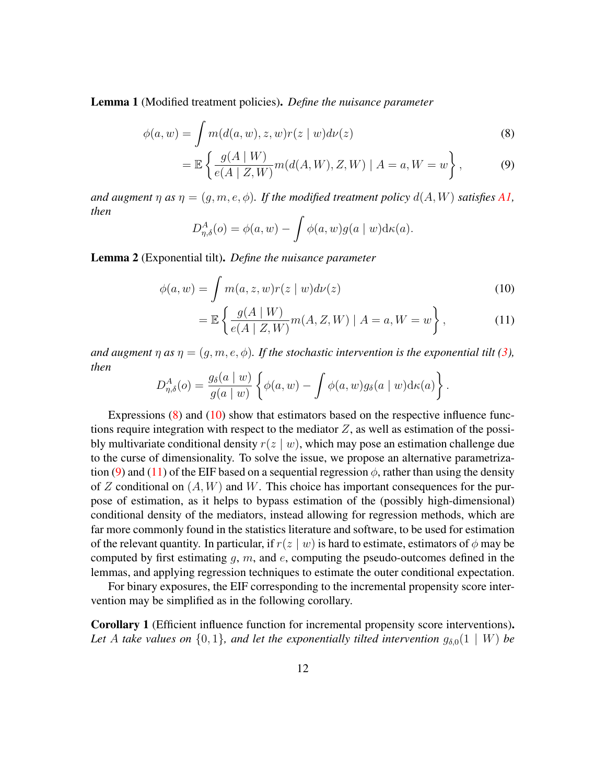<span id="page-11-0"></span>Lemma 1 (Modified treatment policies). *Define the nuisance parameter*

$$
\phi(a, w) = \int m(d(a, w), z, w)r(z \mid w)d\nu(z)
$$
\n(8)

$$
= \mathbb{E}\left\{\frac{g(A \mid W)}{e(A \mid Z, W)}m(d(A, W), Z, W) \mid A = a, W = w\right\},
$$
 (9)

*and augment*  $\eta$  *as*  $\eta = (g, m, e, \phi)$ *. If the modified treatment policy*  $d(A, W)$  *satisfies* [A1,](#page-7-0) *then*

<span id="page-11-4"></span><span id="page-11-2"></span>
$$
D_{\eta,\delta}^A(o) = \phi(a,w) - \int \phi(a,w)g(a \mid w) d\kappa(a).
$$

<span id="page-11-1"></span>Lemma 2 (Exponential tilt). *Define the nuisance parameter*

$$
\phi(a, w) = \int m(a, z, w) r(z \mid w) d\nu(z)
$$
\n(10)

<span id="page-11-5"></span><span id="page-11-3"></span>
$$
= \mathbb{E}\left\{\frac{g(A \mid W)}{e(A \mid Z, W)}m(A, Z, W) \mid A = a, W = w\right\},\tag{11}
$$

*and augment*  $\eta$  *as*  $\eta = (q, m, e, \phi)$ *. If the stochastic intervention is the exponential tilt [\(3\)](#page-5-0), then*

$$
D_{\eta,\delta}^A(o) = \frac{g_\delta(a \mid w)}{g(a \mid w)} \left\{ \phi(a, w) - \int \phi(a, w) g_\delta(a \mid w) d\kappa(a) \right\}.
$$

Expressions [\(8\)](#page-11-2) and [\(10\)](#page-11-3) show that estimators based on the respective influence functions require integration with respect to the mediator  $Z$ , as well as estimation of the possibly multivariate conditional density  $r(z | w)$ , which may pose an estimation challenge due to the curse of dimensionality. To solve the issue, we propose an alternative parametriza-tion [\(9\)](#page-11-4) and [\(11\)](#page-11-5) of the EIF based on a sequential regression  $\phi$ , rather than using the density of Z conditional on  $(A, W)$  and W. This choice has important consequences for the purpose of estimation, as it helps to bypass estimation of the (possibly high-dimensional) conditional density of the mediators, instead allowing for regression methods, which are far more commonly found in the statistics literature and software, to be used for estimation of the relevant quantity. In particular, if  $r(z | w)$  is hard to estimate, estimators of  $\phi$  may be computed by first estimating q,  $m$ , and  $e$ , computing the pseudo-outcomes defined in the lemmas, and applying regression techniques to estimate the outer conditional expectation.

For binary exposures, the EIF corresponding to the incremental propensity score intervention may be simplified as in the following corollary.

<span id="page-11-6"></span>Corollary 1 (Efficient influence function for incremental propensity score interventions). Let A take values on  $\{0,1\}$ , and let the exponentially tilted intervention  $g_{\delta,0}(1 \mid W)$  be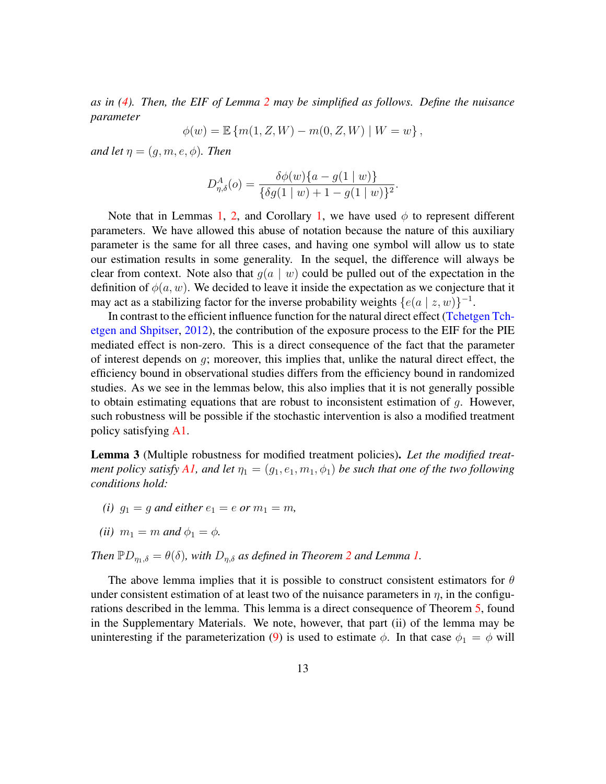*as in [\(4\)](#page-5-2). Then, the EIF of Lemma [2](#page-11-1) may be simplified as follows. Define the nuisance parameter*

$$
\phi(w) = \mathbb{E} \{ m(1, Z, W) - m(0, Z, W) \mid W = w \},
$$

*and let*  $\eta = (g, m, e, \phi)$ *. Then* 

$$
D_{\eta,\delta}^{A}(o) = \frac{\delta\phi(w)\{a - g(1 \mid w)\}}{\{\delta g(1 \mid w) + 1 - g(1 \mid w)\}^{2}}
$$

.

Note that in Lemmas [1,](#page-11-6) [2,](#page-11-1) and Corollary 1, we have used  $\phi$  to represent different parameters. We have allowed this abuse of notation because the nature of this auxiliary parameter is the same for all three cases, and having one symbol will allow us to state our estimation results in some generality. In the sequel, the difference will always be clear from context. Note also that  $q(a | w)$  could be pulled out of the expectation in the definition of  $\phi(a, w)$ . We decided to leave it inside the expectation as we conjecture that it may act as a stabilizing factor for the inverse probability weights  $\{e(a \mid z, w)\}^{-1}$ .

In contrast to the efficient influence function for the natural direct effect [\(Tchetgen Tch](#page-38-10)[etgen and Shpitser,](#page-38-10) [2012\)](#page-38-10), the contribution of the exposure process to the EIF for the PIE mediated effect is non-zero. This is a direct consequence of the fact that the parameter of interest depends on g; moreover, this implies that, unlike the natural direct effect, the efficiency bound in observational studies differs from the efficiency bound in randomized studies. As we see in the lemmas below, this also implies that it is not generally possible to obtain estimating equations that are robust to inconsistent estimation of  $g$ . However, such robustness will be possible if the stochastic intervention is also a modified treatment policy satisfying [A1.](#page-7-0)

Lemma 3 (Multiple robustness for modified treatment policies). *Let the modified treat-ment policy satisfy [A1,](#page-7-0) and let*  $\eta_1 = (g_1, e_1, m_1, \phi_1)$  *be such that one of the two following conditions hold:*

- *(i)*  $q_1 = q$  *and either*  $e_1 = e$  *or*  $m_1 = m$ *,*
- *(ii)*  $m_1 = m$  *and*  $\phi_1 = \phi$ *.*

*Then*  $\mathbb{P}D_{n_1,\delta} = \theta(\delta)$ *, with*  $D_{n,\delta}$  *as defined in Theorem* [2](#page-10-0) *and Lemma* [1.](#page-11-0)

The above lemma implies that it is possible to construct consistent estimators for  $\theta$ under consistent estimation of at least two of the nuisance parameters in  $\eta$ , in the configurations described in the lemma. This lemma is a direct consequence of Theorem [5,](#page-30-0) found in the Supplementary Materials. We note, however, that part (ii) of the lemma may be uninteresting if the parameterization [\(9\)](#page-11-4) is used to estimate  $\phi$ . In that case  $\phi_1 = \phi$  will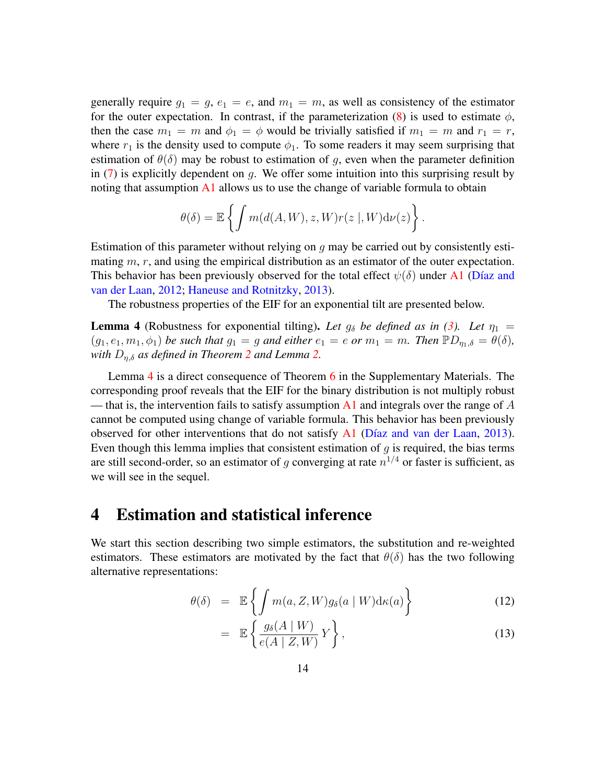generally require  $g_1 = g$ ,  $e_1 = e$ , and  $m_1 = m$ , as well as consistency of the estimator for the outer expectation. In contrast, if the parameterization  $(8)$  is used to estimate  $\phi$ , then the case  $m_1 = m$  and  $\phi_1 = \phi$  would be trivially satisfied if  $m_1 = m$  and  $r_1 = r$ , where  $r_1$  is the density used to compute  $\phi_1$ . To some readers it may seem surprising that estimation of  $\theta(\delta)$  may be robust to estimation of g, even when the parameter definition in  $(7)$  is explicitly dependent on q. We offer some intuition into this surprising result by noting that assumption  $\mathbf{A}1$  allows us to use the change of variable formula to obtain

$$
\theta(\delta) = \mathbb{E}\left\{ \int m(d(A, W), z, W)r(z \mid, W)d\nu(z) \right\}.
$$

Estimation of this parameter without relying on  $q$  may be carried out by consistently estimating  $m, r$ , and using the empirical distribution as an estimator of the outer expectation. This behavior has been previously observed for the total effect  $\psi(\delta)$  under [A1](#page-7-0) (Díaz and [van der Laan,](#page-35-7) [2012;](#page-35-7) [Haneuse and Rotnitzky,](#page-35-6) [2013\)](#page-35-6).

The robustness properties of the EIF for an exponential tilt are presented below.

<span id="page-13-0"></span>**Lemma 4** (Robustness for exponential tilting). Let  $g_\delta$  be defined as in [\(3\)](#page-5-0). Let  $\eta_1$  =  $(g_1, e_1, m_1, \phi_1)$  *be such that*  $g_1 = g$  *and either*  $e_1 = e$  *or*  $m_1 = m$ *. Then*  $\mathbb{P}D_{\eta_1,\delta} = \theta(\delta)$ *, with*  $D_{\eta,\delta}$  *as defined in Theorem* [2](#page-10-0) *and Lemma* [2.](#page-11-1)

Lemma [4](#page-13-0) is a direct consequence of Theorem [6](#page-32-0) in the Supplementary Materials. The corresponding proof reveals that the EIF for the binary distribution is not multiply robust — that is, the intervention fails to satisfy assumption [A1](#page-7-0) and integrals over the range of A cannot be computed using change of variable formula. This behavior has been previously observed for other interventions that do not satisfy [A1](#page-7-0) (Díaz and van der Laan, [2013\)](#page-35-4). Even though this lemma implies that consistent estimation of  $q$  is required, the bias terms are still second-order, so an estimator of g converging at rate  $n^{1/4}$  or faster is sufficient, as we will see in the sequel.

### <span id="page-13-2"></span>4 Estimation and statistical inference

We start this section describing two simple estimators, the substitution and re-weighted estimators. These estimators are motivated by the fact that  $\theta(\delta)$  has the two following alternative representations:

<span id="page-13-1"></span>
$$
\theta(\delta) = \mathbb{E}\left\{ \int m(a, Z, W) g_{\delta}(a \mid W) d\kappa(a) \right\} \tag{12}
$$

$$
= \mathbb{E}\left\{\frac{g_{\delta}(A \mid W)}{e(A \mid Z, W)} Y\right\},\tag{13}
$$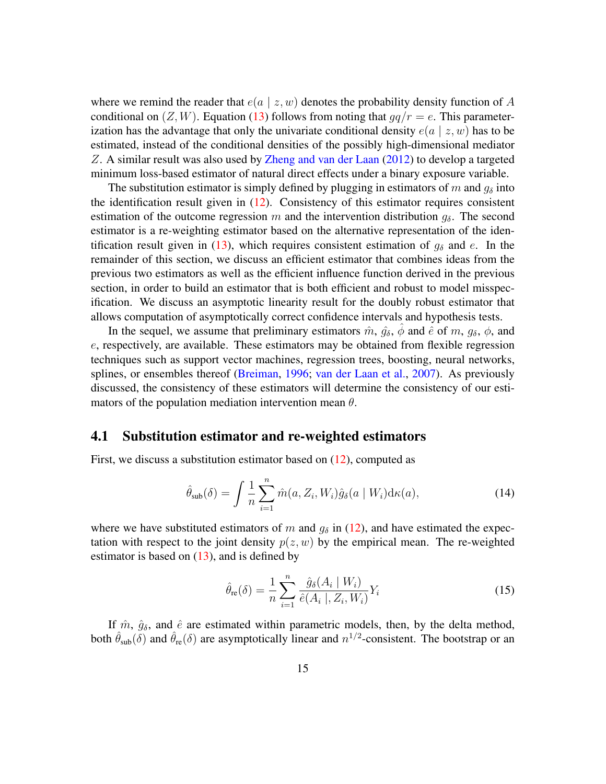where we remind the reader that  $e(a \mid z, w)$  denotes the probability density function of A conditional on  $(Z, W)$ . Equation [\(13\)](#page-13-1) follows from noting that  $qq/r = e$ . This parameterization has the advantage that only the univariate conditional density  $e(a \mid z, w)$  has to be estimated, instead of the conditional densities of the possibly high-dimensional mediator Z. A similar result was also used by [Zheng and van der Laan](#page-40-4) [\(2012\)](#page-40-4) to develop a targeted minimum loss-based estimator of natural direct effects under a binary exposure variable.

The substitution estimator is simply defined by plugging in estimators of m and  $g_{\delta}$  into the identification result given in  $(12)$ . Consistency of this estimator requires consistent estimation of the outcome regression m and the intervention distribution  $g_{\delta}$ . The second estimator is a re-weighting estimator based on the alternative representation of the iden-tification result given in [\(13\)](#page-13-1), which requires consistent estimation of  $g_\delta$  and e. In the remainder of this section, we discuss an efficient estimator that combines ideas from the previous two estimators as well as the efficient influence function derived in the previous section, in order to build an estimator that is both efficient and robust to model misspecification. We discuss an asymptotic linearity result for the doubly robust estimator that allows computation of asymptotically correct confidence intervals and hypothesis tests.

In the sequel, we assume that preliminary estimators  $\hat{m}$ ,  $\hat{g}_{\delta}$ ,  $\phi$  and  $\hat{e}$  of m,  $g_{\delta}$ ,  $\phi$ , and e, respectively, are available. These estimators may be obtained from flexible regression techniques such as support vector machines, regression trees, boosting, neural networks, splines, or ensembles thereof [\(Breiman,](#page-34-3) [1996;](#page-34-3) [van der Laan et al.,](#page-39-8) [2007\)](#page-39-8). As previously discussed, the consistency of these estimators will determine the consistency of our estimators of the population mediation intervention mean  $\theta$ .

#### 4.1 Substitution estimator and re-weighted estimators

First, we discuss a substitution estimator based on [\(12\)](#page-13-1), computed as

<span id="page-14-0"></span>
$$
\hat{\theta}_{\text{sub}}(\delta) = \int \frac{1}{n} \sum_{i=1}^{n} \hat{m}(a, Z_i, W_i) \hat{g}_{\delta}(a \mid W_i) \mathrm{d}\kappa(a), \tag{14}
$$

where we have substituted estimators of m and  $q_{\delta}$  in [\(12\)](#page-13-1), and have estimated the expectation with respect to the joint density  $p(z, w)$  by the empirical mean. The re-weighted estimator is based on  $(13)$ , and is defined by

<span id="page-14-1"></span>
$$
\hat{\theta}_{\text{re}}(\delta) = \frac{1}{n} \sum_{i=1}^{n} \frac{\hat{g}_{\delta}(A_i \mid W_i)}{\hat{e}(A_i \mid, Z_i, W_i)} Y_i
$$
\n(15)

If  $\hat{m}$ ,  $\hat{g}_{\delta}$ , and  $\hat{e}$  are estimated within parametric models, then, by the delta method, both  $\hat{\theta}_{sub}(\delta)$  and  $\hat{\theta}_{re}(\delta)$  are asymptotically linear and  $n^{1/2}$ -consistent. The bootstrap or an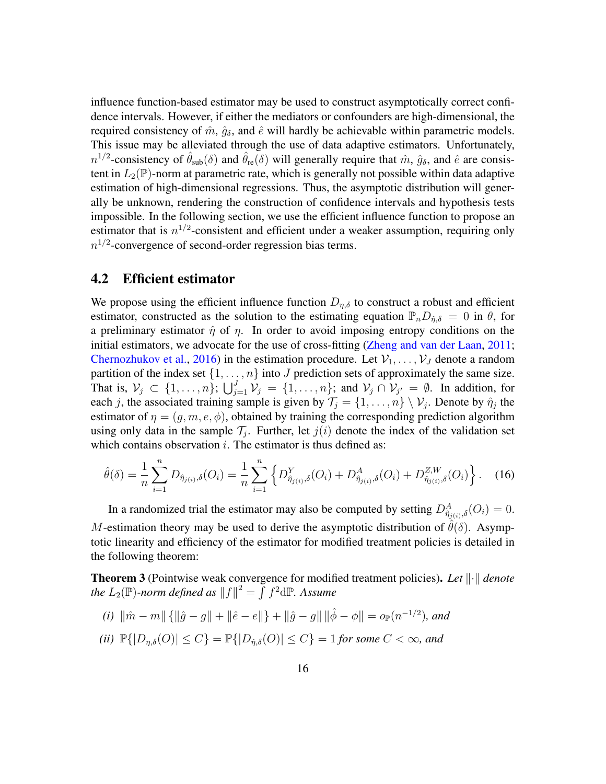influence function-based estimator may be used to construct asymptotically correct confidence intervals. However, if either the mediators or confounders are high-dimensional, the required consistency of  $\hat{m}$ ,  $\hat{g}_{\delta}$ , and  $\hat{e}$  will hardly be achievable within parametric models. This issue may be alleviated through the use of data adaptive estimators. Unfortunately,  $n^{1/2}$ -consistency of  $\hat{\theta}_{sub}(\delta)$  and  $\hat{\theta}_{re}(\delta)$  will generally require that  $\hat{m}$ ,  $\hat{g}_{\delta}$ , and  $\hat{e}$  are consistent in  $L_2(\mathbb{P})$ -norm at parametric rate, which is generally not possible within data adaptive estimation of high-dimensional regressions. Thus, the asymptotic distribution will generally be unknown, rendering the construction of confidence intervals and hypothesis tests impossible. In the following section, we use the efficient influence function to propose an estimator that is  $n^{1/2}$ -consistent and efficient under a weaker assumption, requiring only  $n^{1/2}$ -convergence of second-order regression bias terms.

### 4.2 Efficient estimator

We propose using the efficient influence function  $D_{\eta,\delta}$  to construct a robust and efficient estimator, constructed as the solution to the estimating equation  $\mathbb{P}_nD_{\hat{n},\delta} = 0$  in  $\theta$ , for a preliminary estimator  $\hat{\eta}$  of  $\eta$ . In order to avoid imposing entropy conditions on the initial estimators, we advocate for the use of cross-fitting [\(Zheng and van der Laan,](#page-40-3) [2011;](#page-40-3) [Chernozhukov et al.,](#page-34-4) [2016\)](#page-34-4) in the estimation procedure. Let  $V_1, \ldots, V_J$  denote a random partition of the index set  $\{1, \ldots, n\}$  into J prediction sets of approximately the same size. That is,  $\mathcal{V}_j \subset \{1,\ldots,n\}$ ;  $\bigcup_{j=1}^J \mathcal{V}_j = \{1,\ldots,n\}$ ; and  $\mathcal{V}_j \cap \mathcal{V}_{j'} = \emptyset$ . In addition, for each j, the associated training sample is given by  $\mathcal{T}_j = \{1, \ldots, n\} \setminus \mathcal{V}_j$ . Denote by  $\hat{\eta}_j$  the estimator of  $\eta = (g, m, e, \phi)$ , obtained by training the corresponding prediction algorithm using only data in the sample  $\mathcal{T}_j$ . Further, let  $j(i)$  denote the index of the validation set which contains observation  $i$ . The estimator is thus defined as:

<span id="page-15-3"></span>
$$
\hat{\theta}(\delta) = \frac{1}{n} \sum_{i=1}^{n} D_{\hat{\eta}_{j(i)},\delta}(O_i) = \frac{1}{n} \sum_{i=1}^{n} \left\{ D_{\hat{\eta}_{j(i)},\delta}^{Y}(O_i) + D_{\hat{\eta}_{j(i)},\delta}^{A}(O_i) + D_{\hat{\eta}_{j(i)},\delta}^{Z,W}(O_i) \right\}.
$$
 (16)

In a randomized trial the estimator may also be computed by setting  $D_{\hat{\eta}_{j(i)},\delta}^A(O_i) = 0$ . M-estimation theory may be used to derive the asymptotic distribution of  $\theta(\delta)$ . Asymptotic linearity and efficiency of the estimator for modified treatment policies is detailed in the following theorem:

<span id="page-15-0"></span>**Theorem 3** (Pointwise weak convergence for modified treatment policies). Let  $\|\cdot\|$  denote the  $L_2(\mathbb{P})$ -norm defined as  $\|f\|^2 = \int f^2 \mathrm{d}\mathbb{P}$ . Assume

<span id="page-15-2"></span><span id="page-15-1"></span>(i) 
$$
\|\hat{m} - m\| \{\|\hat{g} - g\| + \|\hat{e} - e\|\} + \|\hat{g} - g\| \|\hat{\phi} - \phi\| = o_{\mathbb{P}}(n^{-1/2})
$$
, and  
\n(ii)  $\mathbb{P}\{|D_{\eta,\delta}(O)| \le C\} = \mathbb{P}\{|D_{\hat{\eta},\delta}(O)| \le C\} = 1$  for some  $C < \infty$ , and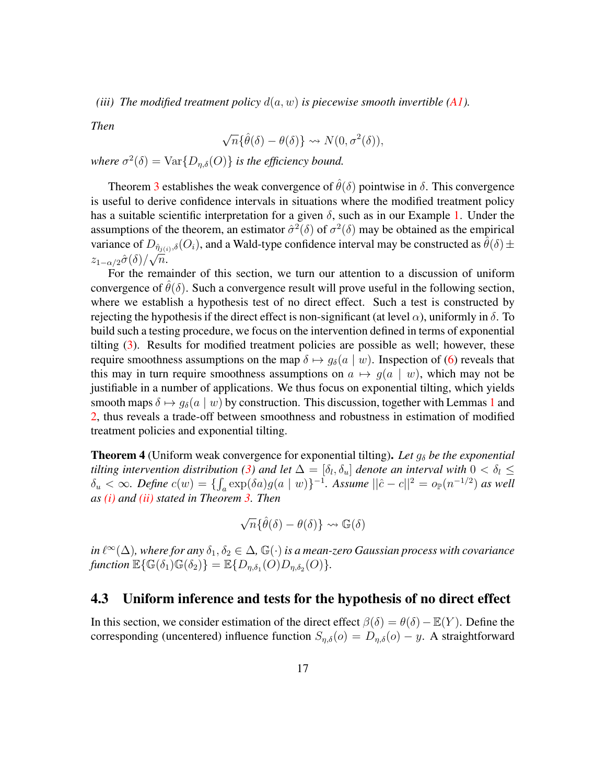*(iii) The modified treatment policy*  $d(a, w)$  *is piecewise smooth invertible*  $(AI)$ *.* 

*Then*

$$
\sqrt{n} \{\hat{\theta}(\delta) - \theta(\delta) \} \rightsquigarrow N(0, \sigma^2(\delta)),
$$

*where*  $\sigma^2(\delta) = \text{Var}\{D_{\eta,\delta}(O)\}\$  *is the efficiency bound.* 

Theorem [3](#page-15-0) establishes the weak convergence of  $\hat{\theta}(\delta)$  pointwise in  $\delta$ . This convergence is useful to derive confidence intervals in situations where the modified treatment policy has a suitable scientific interpretation for a given  $\delta$ , such as in our Example [1.](#page-5-1) Under the assumptions of the theorem, an estimator  $\hat{\sigma}^2(\delta)$  of  $\sigma^2(\delta)$  may be obtained as the empirical variance of  $D_{\hat{\eta}_{j(i)},\delta}(O_i)$ , and a Wald-type confidence interval may be constructed as  $\hat{\theta}(\delta) \pm \hat{\theta}(\delta)$  $z_{1-\alpha/2}\hat{\sigma}(\delta)/\sqrt{n}.$ 

For the remainder of this section, we turn our attention to a discussion of uniform convergence of  $\hat{\theta}(\delta)$ . Such a convergence result will prove useful in the following section, where we establish a hypothesis test of no direct effect. Such a test is constructed by rejecting the hypothesis if the direct effect is non-significant (at level  $\alpha$ ), uniformly in  $\delta$ . To build such a testing procedure, we focus on the intervention defined in terms of exponential tilting [\(3\)](#page-5-0). Results for modified treatment policies are possible as well; however, these require smoothness assumptions on the map  $\delta \mapsto g_{\delta}(a \mid w)$ . Inspection of [\(6\)](#page-7-1) reveals that this may in turn require smoothness assumptions on  $a \mapsto g(a \mid w)$ , which may not be justifiable in a number of applications. We thus focus on exponential tilting, which yields smooth maps  $\delta \mapsto g_{\delta}(a \mid w)$  by construction. This discussion, together with Lemmas [1](#page-11-0) and [2,](#page-11-1) thus reveals a trade-off between smoothness and robustness in estimation of modified treatment policies and exponential tilting.

<span id="page-16-0"></span>**Theorem 4** (Uniform weak convergence for exponential tilting). Let  $g_{\delta}$  be the exponential *tilting intervention distribution [\(3\)](#page-5-0) and let*  $\Delta = [\delta_l, \delta_u]$  *denote an interval with*  $0 < \delta_l \leq$  $\delta_u < \infty$ . Define  $c(w) = \{\int_a \exp(\delta a)g(a \mid w)\}^{-1}$ . Assume  $||\hat{c} - c||^2 = o_{\mathbb{P}}(n^{-1/2})$  as well *as [\(i\)](#page-15-1) and [\(ii\)](#page-15-2) stated in Theorem [3.](#page-15-0) Then*

$$
\sqrt{n} \{ \hat{\theta}(\delta) - \theta(\delta) \} \rightsquigarrow \mathbb{G}(\delta)
$$

in l $\ell^{\infty}(\Delta)$ , where for any  $\delta_1, \delta_2 \in \Delta$ ,  $\mathbb{G}(\cdot)$  is a mean-zero Gaussian process with covariance  $\text{function }\mathbb{E}\{\mathbb{G}(\delta_{1})\mathbb{G}(\delta_{2})\} = \mathbb{E}\{D_{\eta,\delta_{1}}(O)D_{\eta,\delta_{2}}(O)\}.$ 

#### 4.3 Uniform inference and tests for the hypothesis of no direct effect

In this section, we consider estimation of the direct effect  $\beta(\delta) = \theta(\delta) - \mathbb{E}(Y)$ . Define the corresponding (uncentered) influence function  $S_{\eta,\delta}(o) = D_{\eta,\delta}(o) - y$ . A straightforward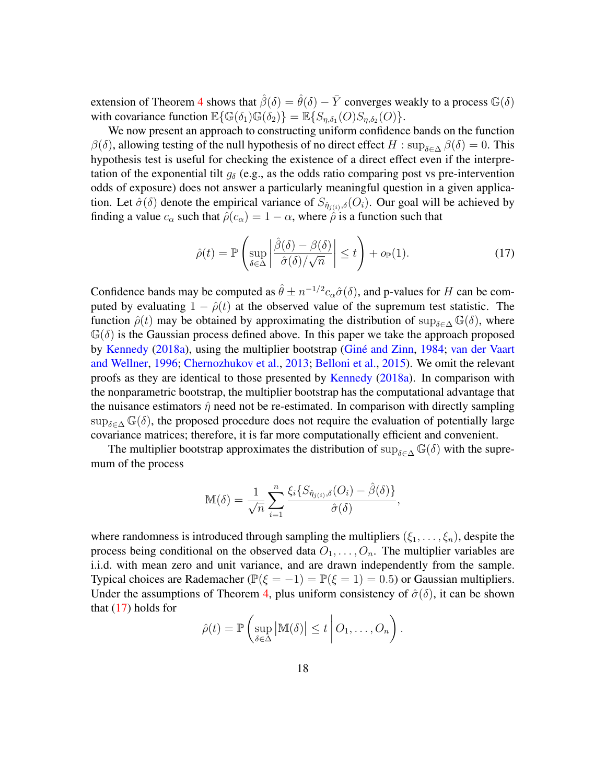extension of Theorem [4](#page-16-0) shows that  $\hat{\beta}(\delta) = \hat{\theta}(\delta) - \bar{Y}$  converges weakly to a process  $\mathbb{G}(\delta)$ with covariance function  $\mathbb{E}\{\mathbb{G}(\delta_1)\mathbb{G}(\delta_2)\} = \mathbb{E}\{S_{\eta,\delta_1}(O)S_{\eta,\delta_2}(O)\}.$ 

We now present an approach to constructing uniform confidence bands on the function  $\beta(\delta)$ , allowing testing of the null hypothesis of no direct effect H : sup<sub> $\delta \in \Delta$ </sub>  $\beta(\delta) = 0$ . This hypothesis test is useful for checking the existence of a direct effect even if the interpretation of the exponential tilt  $g_{\delta}$  (e.g., as the odds ratio comparing post vs pre-intervention odds of exposure) does not answer a particularly meaningful question in a given application. Let  $\hat{\sigma}(\delta)$  denote the empirical variance of  $S_{\hat{\eta}_{j(i)},\delta}(O_i)$ . Our goal will be achieved by finding a value  $c_{\alpha}$  such that  $\hat{\rho}(c_{\alpha}) = 1 - \alpha$ , where  $\hat{\rho}$  is a function such that

<span id="page-17-0"></span>
$$
\hat{\rho}(t) = \mathbb{P}\left(\sup_{\delta \in \Delta} \left| \frac{\hat{\beta}(\delta) - \beta(\delta)}{\hat{\sigma}(\delta)/\sqrt{n}} \right| \le t \right) + o_{\mathbb{P}}(1). \tag{17}
$$

Confidence bands may be computed as  $\hat{\theta} \pm n^{-1/2} c_{\alpha} \hat{\sigma}(\delta)$ , and p-values for H can be computed by evaluating  $1 - \hat{\rho}(t)$  at the observed value of the supremum test statistic. The function  $\hat{\rho}(t)$  may be obtained by approximating the distribution of sup<sub>δ∈△</sub>  $\mathbb{G}(\delta)$ , where  $\mathbb{G}(\delta)$  is the Gaussian process defined above. In this paper we take the approach proposed by [Kennedy](#page-36-7) [\(2018a\)](#page-36-7), using the multiplier bootstrap (Giné and Zinn, [1984;](#page-35-9) [van der Vaart](#page-39-9) [and Wellner,](#page-39-9) [1996;](#page-39-9) [Chernozhukov et al.,](#page-34-5) [2013;](#page-34-5) [Belloni et al.,](#page-34-6) [2015\)](#page-34-6). We omit the relevant proofs as they are identical to those presented by [Kennedy](#page-36-7) [\(2018a\)](#page-36-7). In comparison with the nonparametric bootstrap, the multiplier bootstrap has the computational advantage that the nuisance estimators  $\hat{\eta}$  need not be re-estimated. In comparison with directly sampling  $\sup_{\delta \in \Delta} \mathbb{G}(\delta)$ , the proposed procedure does not require the evaluation of potentially large covariance matrices; therefore, it is far more computationally efficient and convenient.

The multiplier bootstrap approximates the distribution of sup $_{\delta \in \Delta} \mathbb{G}(\delta)$  with the supremum of the process

$$
\mathbb{M}(\delta) = \frac{1}{\sqrt{n}} \sum_{i=1}^{n} \frac{\xi_i \{ S_{\hat{\eta}_{j(i)},\delta}(O_i) - \hat{\beta}(\delta) \}}{\hat{\sigma}(\delta)},
$$

where randomness is introduced through sampling the multipliers  $(\xi_1, \ldots, \xi_n)$ , despite the process being conditional on the observed data  $O_1, \ldots, O_n$ . The multiplier variables are i.i.d. with mean zero and unit variance, and are drawn independently from the sample. Typical choices are Rademacher ( $\mathbb{P}(\xi = -1) = \mathbb{P}(\xi = 1) = 0.5$ ) or Gaussian multipliers. Under the assumptions of Theorem [4,](#page-16-0) plus uniform consistency of  $\hat{\sigma}(\delta)$ , it can be shown that [\(17\)](#page-17-0) holds for

$$
\hat{\rho}(t) = \mathbb{P}\left(\sup_{\delta \in \Delta} \left|\mathbb{M}(\delta)\right| \leq t \middle| O_1, \ldots, O_n\right).
$$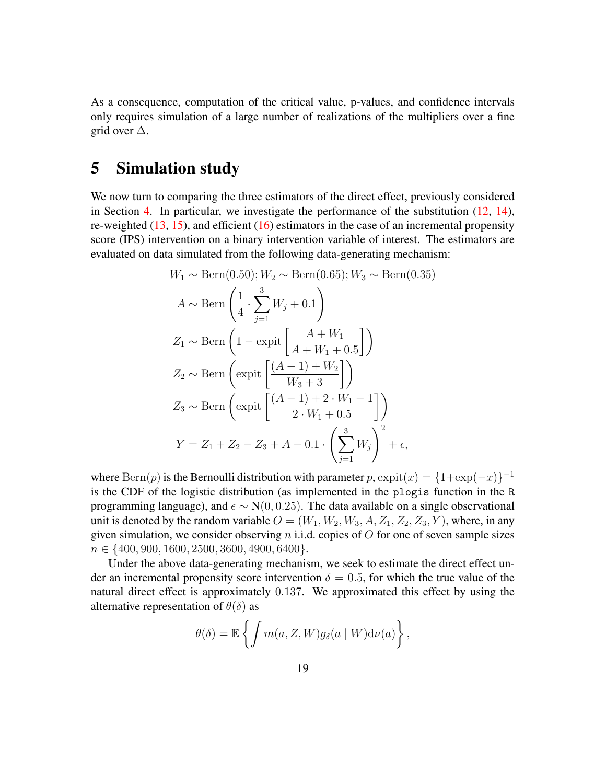As a consequence, computation of the critical value, p-values, and confidence intervals only requires simulation of a large number of realizations of the multipliers over a fine grid over  $\Delta$ .

### 5 Simulation study

We now turn to comparing the three estimators of the direct effect, previously considered in Section [4.](#page-13-2) In particular, we investigate the performance of the substitution  $(12, 14)$  $(12, 14)$  $(12, 14)$ , re-weighted  $(13, 15)$  $(13, 15)$  $(13, 15)$ , and efficient  $(16)$  estimators in the case of an incremental propensity score (IPS) intervention on a binary intervention variable of interest. The estimators are evaluated on data simulated from the following data-generating mechanism:

$$
W_1 \sim \text{Bern}(0.50); W_2 \sim \text{Bern}(0.65); W_3 \sim \text{Bern}(0.35)
$$
  
\n
$$
A \sim \text{Bern}\left(\frac{1}{4} \cdot \sum_{j=1}^{3} W_j + 0.1\right)
$$
  
\n
$$
Z_1 \sim \text{Bern}\left(1 - \text{expit}\left[\frac{A + W_1}{A + W_1 + 0.5}\right]\right)
$$
  
\n
$$
Z_2 \sim \text{Bern}\left(\text{expit}\left[\frac{(A - 1) + W_2}{W_3 + 3}\right]\right)
$$
  
\n
$$
Z_3 \sim \text{Bern}\left(\text{expit}\left[\frac{(A - 1) + 2 \cdot W_1 - 1}{2 \cdot W_1 + 0.5}\right]\right)
$$
  
\n
$$
Y = Z_1 + Z_2 - Z_3 + A - 0.1 \cdot \left(\sum_{j=1}^{3} W_j\right)^2 + \epsilon,
$$

where  $\text{Bern}(p)$  is the Bernoulli distribution with parameter  $p$ ,  $\exp(t(x) = \{1 + \exp(-x)\}^{-1}$ is the CDF of the logistic distribution (as implemented in the plogis function in the R programming language), and  $\epsilon \sim N(0, 0.25)$ . The data available on a single observational unit is denoted by the random variable  $O = (W_1, W_2, W_3, A, Z_1, Z_2, Z_3, Y)$ , where, in any given simulation, we consider observing  $n$  i.i.d. copies of  $O$  for one of seven sample sizes  $n \in \{400, 900, 1600, 2500, 3600, 4900, 6400\}.$ 

Under the above data-generating mechanism, we seek to estimate the direct effect under an incremental propensity score intervention  $\delta = 0.5$ , for which the true value of the natural direct effect is approximately 0.137. We approximated this effect by using the alternative representation of  $\theta(\delta)$  as

$$
\theta(\delta) = \mathbb{E}\left\{ \int m(a, Z, W) g_{\delta}(a \mid W) d\nu(a) \right\},\,
$$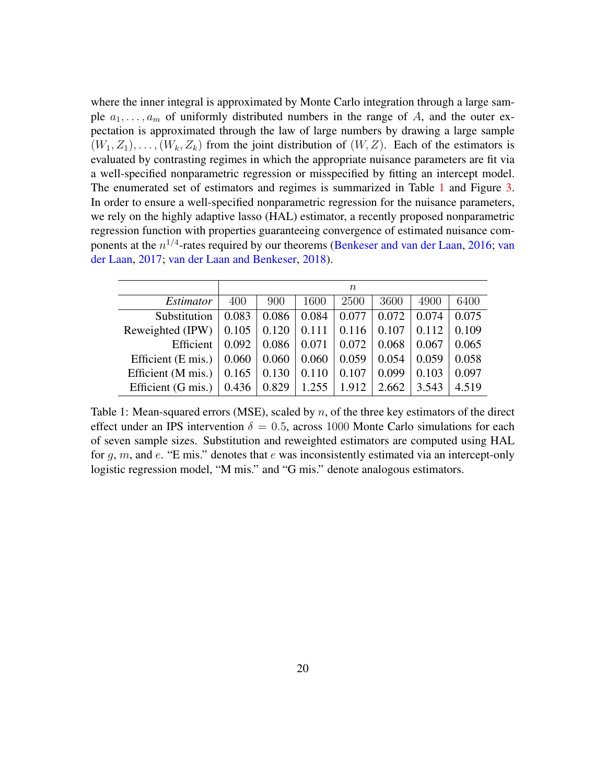where the inner integral is approximated by Monte Carlo integration through a large sample  $a_1, \ldots, a_m$  of uniformly distributed numbers in the range of A, and the outer expectation is approximated through the law of large numbers by drawing a large sample  $(W_1, Z_1), \ldots, (W_k, Z_k)$  from the joint distribution of  $(W, Z)$ . Each of the estimators is evaluated by contrasting regimes in which the appropriate nuisance parameters are fit via a well-specified nonparametric regression or misspecified by fitting an intercept model. The enumerated set of estimators and regimes is summarized in Table [1](#page-19-0) and Figure [3.](#page-20-0) In order to ensure a well-specified nonparametric regression for the nuisance parameters, we rely on the highly adaptive lasso (HAL) estimator, a recently proposed nonparametric regression function with properties guaranteeing convergence of estimated nuisance components at the  $n^{1/4}$ -rates required by our theorems [\(Benkeser and van der Laan,](#page-34-7) [2016;](#page-34-7) [van](#page-38-11) [der Laan,](#page-38-11) [2017;](#page-38-11) [van der Laan and Benkeser,](#page-38-12) [2018\)](#page-38-12).

<span id="page-19-0"></span>

|                              | $\, n$ |       |       |       |       |       |       |
|------------------------------|--------|-------|-------|-------|-------|-------|-------|
| Estimator                    | 400    | 900   | 1600  | 2500  | 3600  | 4900  | 6400  |
| Substitution                 | 0.083  | 0.086 | 0.084 | 0.077 | 0.072 | 0.074 | 0.075 |
| Reweighted (IPW)             | 0.105  | 0.120 | 0.111 | 0.116 | 0.107 | 0.112 | 0.109 |
| Efficient                    | 0.092  | 0.086 | 0.071 | 0.072 | 0.068 | 0.067 | 0.065 |
| Efficient (E mis.)           | 0.060  | 0.060 | 0.060 | 0.059 | 0.054 | 0.059 | 0.058 |
| Efficient (M mis.)           | 0.165  | 0.130 | 0.110 | 0.107 | 0.099 | 0.103 | 0.097 |
| Efficient $(G \text{ mis.})$ | 0.436  | 0.829 | 1.255 | 1.912 | 2.662 | 3.543 | 4.519 |

Table 1: Mean-squared errors (MSE), scaled by  $n$ , of the three key estimators of the direct effect under an IPS intervention  $\delta = 0.5$ , across 1000 Monte Carlo simulations for each of seven sample sizes. Substitution and reweighted estimators are computed using HAL for  $g, m$ , and  $e$ . "E mis." denotes that  $e$  was inconsistently estimated via an intercept-only logistic regression model, "M mis." and "G mis." denote analogous estimators.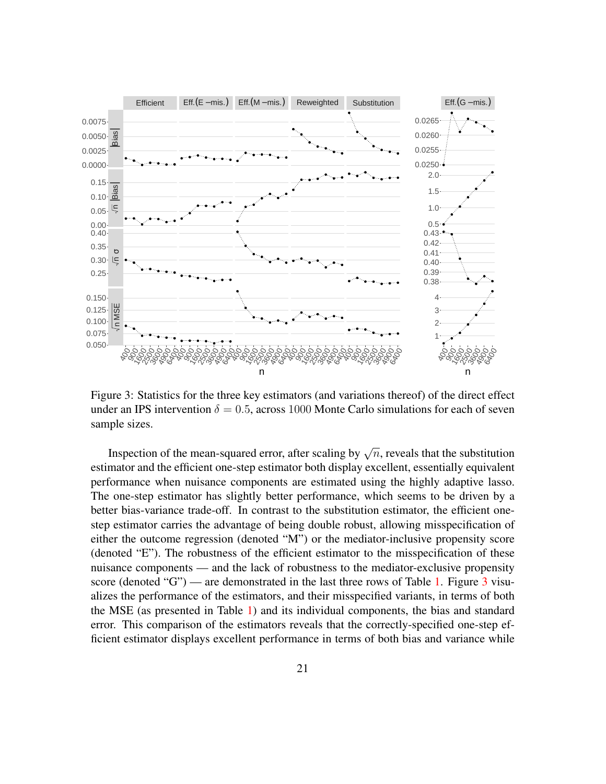<span id="page-20-0"></span>

Figure 3: Statistics for the three key estimators (and variations thereof) of the direct effect under an IPS intervention  $\delta = 0.5$ , across 1000 Monte Carlo simulations for each of seven sample sizes.

Inspection of the mean-squared error, after scaling by  $\sqrt{n}$ , reveals that the substitution estimator and the efficient one-step estimator both display excellent, essentially equivalent performance when nuisance components are estimated using the highly adaptive lasso. The one-step estimator has slightly better performance, which seems to be driven by a better bias-variance trade-off. In contrast to the substitution estimator, the efficient onestep estimator carries the advantage of being double robust, allowing misspecification of either the outcome regression (denoted "M") or the mediator-inclusive propensity score (denoted "E"). The robustness of the efficient estimator to the misspecification of these nuisance components — and the lack of robustness to the mediator-exclusive propensity score (denoted "G") — are demonstrated in the last three rows of Table [1.](#page-19-0) Figure  $3$  visualizes the performance of the estimators, and their misspecified variants, in terms of both the MSE (as presented in Table [1\)](#page-19-0) and its individual components, the bias and standard error. This comparison of the estimators reveals that the correctly-specified one-step efficient estimator displays excellent performance in terms of both bias and variance while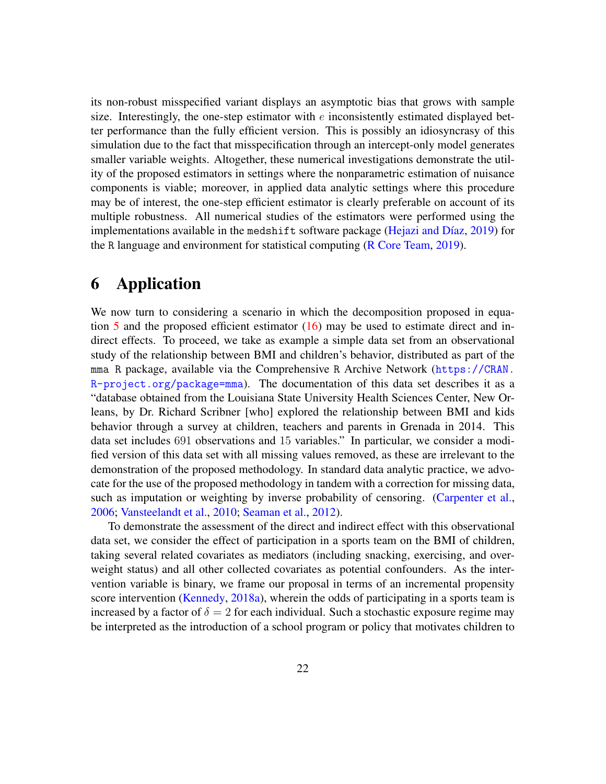its non-robust misspecified variant displays an asymptotic bias that grows with sample size. Interestingly, the one-step estimator with  $e$  inconsistently estimated displayed better performance than the fully efficient version. This is possibly an idiosyncrasy of this simulation due to the fact that misspecification through an intercept-only model generates smaller variable weights. Altogether, these numerical investigations demonstrate the utility of the proposed estimators in settings where the nonparametric estimation of nuisance components is viable; moreover, in applied data analytic settings where this procedure may be of interest, the one-step efficient estimator is clearly preferable on account of its multiple robustness. All numerical studies of the estimators were performed using the implementations available in the medshift software package (Hejazi and Díaz, [2019\)](#page-35-10) for the R language and environment for statistical computing [\(R Core Team,](#page-37-10) [2019\)](#page-37-10).

### 6 Application

We now turn to considering a scenario in which the decomposition proposed in equation  $5$  and the proposed efficient estimator  $(16)$  may be used to estimate direct and indirect effects. To proceed, we take as example a simple data set from an observational study of the relationship between BMI and children's behavior, distributed as part of the mma R package, available via the Comprehensive R Archive Network ([https://CRAN.](https://CRAN.R-project.org/package=mma)  $R-project.org/package=mma)$  $R-project.org/package=mma)$ . The documentation of this data set describes it as a "database obtained from the Louisiana State University Health Sciences Center, New Orleans, by Dr. Richard Scribner [who] explored the relationship between BMI and kids behavior through a survey at children, teachers and parents in Grenada in 2014. This data set includes 691 observations and 15 variables." In particular, we consider a modified version of this data set with all missing values removed, as these are irrelevant to the demonstration of the proposed methodology. In standard data analytic practice, we advocate for the use of the proposed methodology in tandem with a correction for missing data, such as imputation or weighting by inverse probability of censoring. [\(Carpenter et al.,](#page-34-8) [2006;](#page-34-8) [Vansteelandt et al.,](#page-39-10) [2010;](#page-39-10) [Seaman et al.,](#page-37-11) [2012\)](#page-37-11).

To demonstrate the assessment of the direct and indirect effect with this observational data set, we consider the effect of participation in a sports team on the BMI of children, taking several related covariates as mediators (including snacking, exercising, and overweight status) and all other collected covariates as potential confounders. As the intervention variable is binary, we frame our proposal in terms of an incremental propensity score intervention [\(Kennedy,](#page-36-7) [2018a\)](#page-36-7), wherein the odds of participating in a sports team is increased by a factor of  $\delta = 2$  for each individual. Such a stochastic exposure regime may be interpreted as the introduction of a school program or policy that motivates children to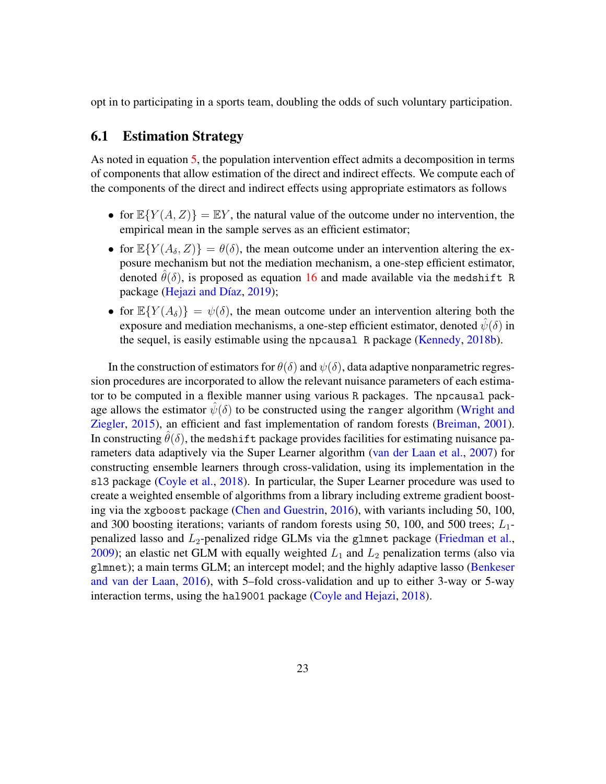opt in to participating in a sports team, doubling the odds of such voluntary participation.

### 6.1 Estimation Strategy

As noted in equation [5,](#page-6-0) the population intervention effect admits a decomposition in terms of components that allow estimation of the direct and indirect effects. We compute each of the components of the direct and indirect effects using appropriate estimators as follows

- for  $\mathbb{E}\{Y(A, Z)\} = \mathbb{E}Y$ , the natural value of the outcome under no intervention, the empirical mean in the sample serves as an efficient estimator;
- for  $\mathbb{E}\{Y(A_\delta, Z)\} = \theta(\delta)$ , the mean outcome under an intervention altering the exposure mechanism but not the mediation mechanism, a one-step efficient estimator, denoted  $\hat{\theta}(\delta)$ , is proposed as equation [16](#page-15-3) and made available via the medshift R package (Hejazi and Díaz, [2019\)](#page-35-10);
- for  $\mathbb{E}\{Y(A_\delta)\} = \psi(\delta)$ , the mean outcome under an intervention altering both the exposure and mediation mechanisms, a one-step efficient estimator, denoted  $\psi(\delta)$  in the sequel, is easily estimable using the npcausal R package [\(Kennedy,](#page-36-12) [2018b\)](#page-36-12).

In the construction of estimators for  $\theta(\delta)$  and  $\psi(\delta)$ , data adaptive nonparametric regression procedures are incorporated to allow the relevant nuisance parameters of each estimator to be computed in a flexible manner using various R packages. The npcausal package allows the estimator  $\hat{\psi}(\delta)$  to be constructed using the ranger algorithm [\(Wright and](#page-39-11) [Ziegler,](#page-39-11) [2015\)](#page-39-11), an efficient and fast implementation of random forests [\(Breiman,](#page-34-9) [2001\)](#page-34-9). In constructing  $\theta(\delta)$ , the medshift package provides facilities for estimating nuisance parameters data adaptively via the Super Learner algorithm [\(van der Laan et al.,](#page-39-8) [2007\)](#page-39-8) for constructing ensemble learners through cross-validation, using its implementation in the sl3 package [\(Coyle et al.,](#page-35-11) [2018\)](#page-35-11). In particular, the Super Learner procedure was used to create a weighted ensemble of algorithms from a library including extreme gradient boosting via the xgboost package [\(Chen and Guestrin,](#page-34-10) [2016\)](#page-34-10), with variants including 50, 100, and 300 boosting iterations; variants of random forests using 50, 100, and 500 trees;  $L_1$ penalized lasso and  $L_2$ -penalized ridge GLMs via the glmnet package [\(Friedman et al.,](#page-35-12) [2009\)](#page-35-12); an elastic net GLM with equally weighted  $L_1$  and  $L_2$  penalization terms (also via glmnet); a main terms GLM; an intercept model; and the highly adaptive lasso [\(Benkeser](#page-34-7) [and van der Laan,](#page-34-7) [2016\)](#page-34-7), with 5–fold cross-validation and up to either 3-way or 5-way interaction terms, using the hal9001 package [\(Coyle and Hejazi,](#page-34-11) [2018\)](#page-34-11).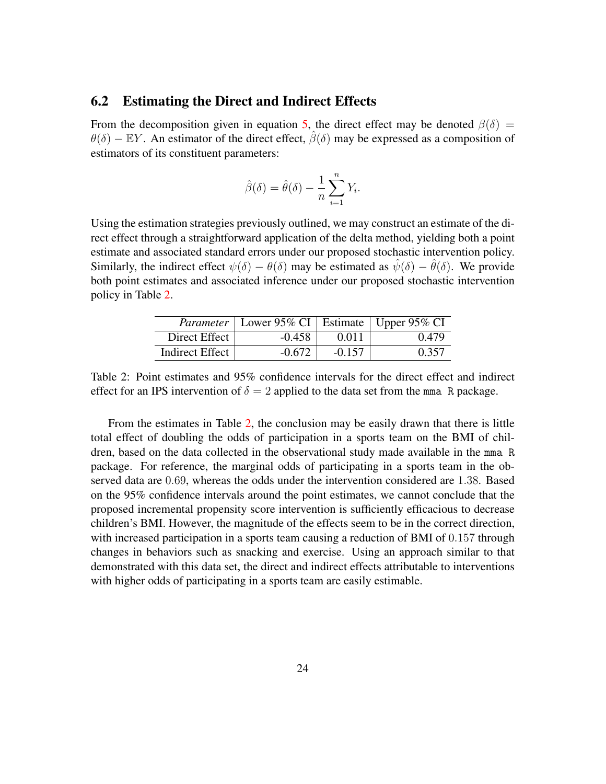#### 6.2 Estimating the Direct and Indirect Effects

From the decomposition given in equation [5,](#page-6-0) the direct effect may be denoted  $\beta(\delta)$  =  $\theta(\delta)$  – EY. An estimator of the direct effect,  $\hat{\beta}(\delta)$  may be expressed as a composition of estimators of its constituent parameters:

$$
\hat{\beta}(\delta) = \hat{\theta}(\delta) - \frac{1}{n} \sum_{i=1}^{n} Y_i.
$$

Using the estimation strategies previously outlined, we may construct an estimate of the direct effect through a straightforward application of the delta method, yielding both a point estimate and associated standard errors under our proposed stochastic intervention policy. Similarly, the indirect effect  $\psi(\delta) - \theta(\delta)$  may be estimated as  $\hat{\psi}(\delta) - \hat{\theta}(\delta)$ . We provide both point estimates and associated inference under our proposed stochastic intervention policy in Table [2.](#page-23-0)

|                        | <i>Parameter</i>   Lower 95% CI   Estimate   Upper 95% CI |          |       |
|------------------------|-----------------------------------------------------------|----------|-------|
| Direct Effect          | $-0.458$                                                  | 0.011    | 0.479 |
| <b>Indirect Effect</b> | $-0.672$                                                  | $-0.157$ | 0.357 |

<span id="page-23-0"></span>Table 2: Point estimates and 95% confidence intervals for the direct effect and indirect effect for an IPS intervention of  $\delta = 2$  applied to the data set from the mma R package.

From the estimates in Table [2,](#page-23-0) the conclusion may be easily drawn that there is little total effect of doubling the odds of participation in a sports team on the BMI of children, based on the data collected in the observational study made available in the mma R package. For reference, the marginal odds of participating in a sports team in the observed data are 0.69, whereas the odds under the intervention considered are 1.38. Based on the 95% confidence intervals around the point estimates, we cannot conclude that the proposed incremental propensity score intervention is sufficiently efficacious to decrease children's BMI. However, the magnitude of the effects seem to be in the correct direction, with increased participation in a sports team causing a reduction of BMI of 0.157 through changes in behaviors such as snacking and exercise. Using an approach similar to that demonstrated with this data set, the direct and indirect effects attributable to interventions with higher odds of participating in a sports team are easily estimable.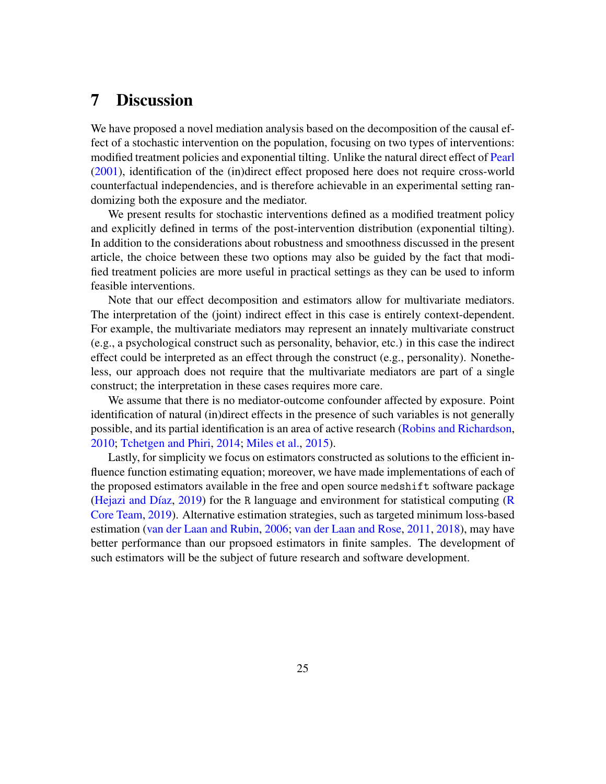## 7 Discussion

We have proposed a novel mediation analysis based on the decomposition of the causal effect of a stochastic intervention on the population, focusing on two types of interventions: modified treatment policies and exponential tilting. Unlike the natural direct effect of [Pearl](#page-36-4) [\(2001\)](#page-36-4), identification of the (in)direct effect proposed here does not require cross-world counterfactual independencies, and is therefore achievable in an experimental setting randomizing both the exposure and the mediator.

We present results for stochastic interventions defined as a modified treatment policy and explicitly defined in terms of the post-intervention distribution (exponential tilting). In addition to the considerations about robustness and smoothness discussed in the present article, the choice between these two options may also be guided by the fact that modified treatment policies are more useful in practical settings as they can be used to inform feasible interventions.

Note that our effect decomposition and estimators allow for multivariate mediators. The interpretation of the (joint) indirect effect in this case is entirely context-dependent. For example, the multivariate mediators may represent an innately multivariate construct (e.g., a psychological construct such as personality, behavior, etc.) in this case the indirect effect could be interpreted as an effect through the construct (e.g., personality). Nonetheless, our approach does not require that the multivariate mediators are part of a single construct; the interpretation in these cases requires more care.

We assume that there is no mediator-outcome confounder affected by exposure. Point identification of natural (in)direct effects in the presence of such variables is not generally possible, and its partial identification is an area of active research [\(Robins and Richardson,](#page-37-5) [2010;](#page-37-5) [Tchetgen and Phiri,](#page-38-1) [2014;](#page-38-1) [Miles et al.,](#page-36-5) [2015\)](#page-36-5).

Lastly, for simplicity we focus on estimators constructed as solutions to the efficient influence function estimating equation; moreover, we have made implementations of each of the proposed estimators available in the free and open source medshift software package (Hejazi and Díaz,  $2019$ ) for the R language and environment for statistical computing [\(R](#page-37-10) [Core Team,](#page-37-10) [2019\)](#page-37-10). Alternative estimation strategies, such as targeted minimum loss-based estimation [\(van der Laan and Rubin,](#page-39-6) [2006;](#page-39-6) [van der Laan and Rose,](#page-38-7) [2011,](#page-38-7) [2018\)](#page-38-8), may have better performance than our propsoed estimators in finite samples. The development of such estimators will be the subject of future research and software development.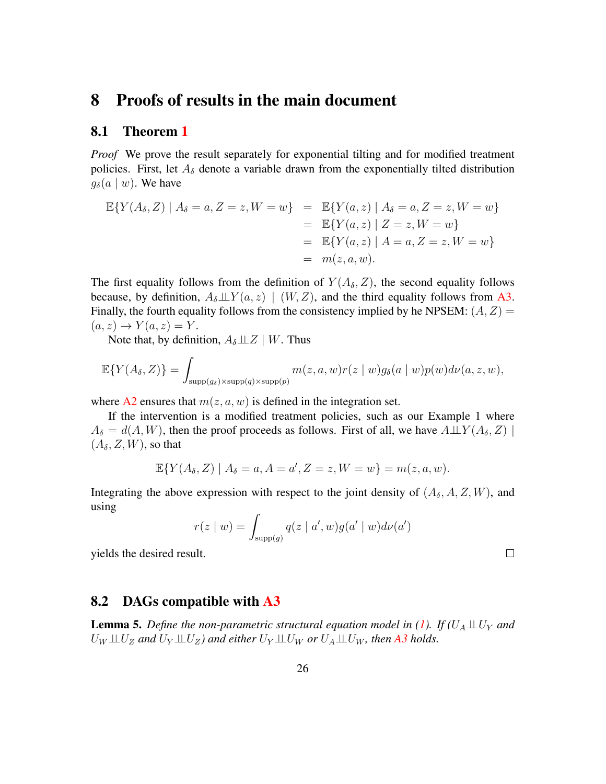### 8 Proofs of results in the main document

#### 8.1 Theorem [1](#page-9-0)

*Proof* We prove the result separately for exponential tilting and for modified treatment policies. First, let  $A_{\delta}$  denote a variable drawn from the exponentially tilted distribution  $g_{\delta}(a \mid w)$ . We have

$$
\mathbb{E}\{Y(A_{\delta}, Z) | A_{\delta} = a, Z = z, W = w\} = \mathbb{E}\{Y(a, z) | A_{\delta} = a, Z = z, W = w\}
$$
  
\n
$$
= \mathbb{E}\{Y(a, z) | Z = z, W = w\}
$$
  
\n
$$
= \mathbb{E}\{Y(a, z) | A = a, Z = z, W = w\}
$$
  
\n
$$
= m(z, a, w).
$$

The first equality follows from the definition of  $Y(A_\delta, Z)$ , the second equality follows because, by definition,  $A_{\delta} \perp \!\!\! \perp Y(a, z) \mid (W, Z)$ , and the third equality follows from [A3.](#page-8-2) Finally, the fourth equality follows from the consistency implied by he NPSEM:  $(A, Z)$  =  $(a, z) \rightarrow Y(a, z) = Y.$ 

Note that, by definition,  $A_{\delta} \perp \!\!\! \perp Z \mid W$ . Thus

$$
\mathbb{E}\{Y(A_{\delta}, Z)\} = \int_{\text{supp}(g_{\delta}) \times \text{supp}(q) \times \text{supp}(p)} m(z, a, w)r(z \mid w)g_{\delta}(a \mid w)p(w)d\nu(a, z, w),
$$

where [A2](#page-8-1) ensures that  $m(z, a, w)$  is defined in the integration set.

If the intervention is a modified treatment policies, such as our Example 1 where  $A_{\delta} = d(A, W)$ , then the proof proceeds as follows. First of all, we have  $A \perp \!\!\!\perp Y(A_{\delta}, Z)$  $(A_\delta, Z, W)$ , so that

$$
\mathbb{E}\{Y(A_{\delta}, Z) \mid A_{\delta} = a, A = a', Z = z, W = w\} = m(z, a, w).
$$

Integrating the above expression with respect to the joint density of  $(A_\delta, A, Z, W)$ , and using

$$
r(z \mid w) = \int_{\text{supp}(g)} q(z \mid a', w) g(a' \mid w) d\nu(a')
$$

 $\Box$ 

yields the desired result.

#### 8.2 DAGs compatible with [A3](#page-8-2)

**Lemma 5.** Define the non-parametric structural equation model in [\(1\)](#page-4-0). If  $(U_A \perp\!\!\!\perp U_Y$  and  $U_W \perp\!\!\!\perp U_Z$  and  $U_Y \perp\!\!\!\perp U_Z$ ) and either  $U_Y \perp\!\!\!\perp U_W$  or  $U_A \perp\!\!\!\perp U_W$ , then [A3](#page-8-2) holds.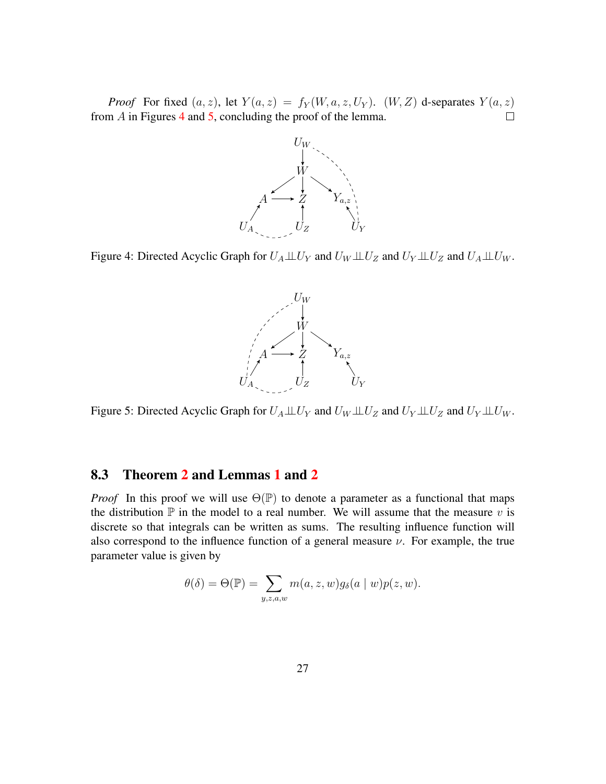<span id="page-26-0"></span>*Proof* For fixed  $(a, z)$ , let  $Y(a, z) = f_Y(W, a, z, U_Y)$ .  $(W, Z)$  d-separates  $Y(a, z)$ from  $\overline{A}$  in Figures [4](#page-26-0) and [5,](#page-26-1) concluding the proof of the lemma.  $\Box$ 



<span id="page-26-1"></span>Figure 4: Directed Acyclic Graph for  $U_A \perp \!\!\! \perp U_Y$  and  $U_W \perp \!\!\! \perp U_Z$  and  $U_Y \perp \!\!\! \perp U_Z$  and  $U_A \perp \!\!\! \perp U_W$ .



Figure 5: Directed Acyclic Graph for  $U_A \perp \!\!\! \perp U_Y$  and  $U_W \perp \!\!\! \perp U_Z$  and  $U_Y \perp \!\!\! \perp U_W$ .

#### 8.3 Theorem [2](#page-10-0) and Lemmas [1](#page-11-0) and [2](#page-11-1)

*Proof* In this proof we will use  $\Theta(\mathbb{P})$  to denote a parameter as a functional that maps the distribution  $\mathbb P$  in the model to a real number. We will assume that the measure v is discrete so that integrals can be written as sums. The resulting influence function will also correspond to the influence function of a general measure  $\nu$ . For example, the true parameter value is given by

$$
\theta(\delta) = \Theta(\mathbb{P}) = \sum_{y,z,a,w} m(a,z,w) g_{\delta}(a \mid w) p(z,w).
$$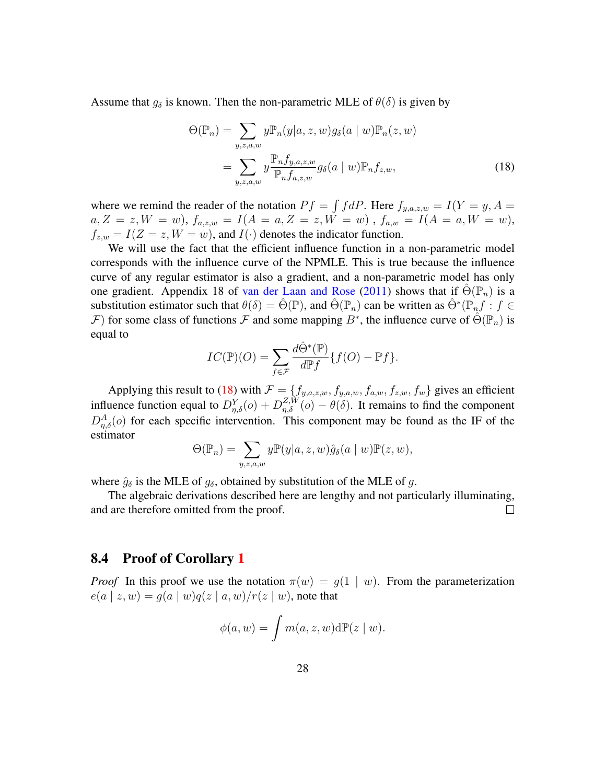Assume that  $g_\delta$  is known. Then the non-parametric MLE of  $\theta(\delta)$  is given by

<span id="page-27-0"></span>
$$
\Theta(\mathbb{P}_n) = \sum_{y,z,a,w} y \mathbb{P}_n(y|a,z,w) g_\delta(a \mid w) \mathbb{P}_n(z,w)
$$

$$
= \sum_{y,z,a,w} y \frac{\mathbb{P}_n f_{y,a,z,w}}{\mathbb{P}_n f_{a,z,w}} g_\delta(a \mid w) \mathbb{P}_n f_{z,w}, \tag{18}
$$

where we remind the reader of the notation  $Pf = \int f dP$ . Here  $f_{y,a,z,w} = I(Y = y, A = z)$  $a, Z = z, W = w$ ),  $f_{a,z,w} = I(A = a, Z = z, W = w)$ ,  $f_{a,w} = I(A = a, W = w)$ ,  $f_{z,w} = I(Z = z, W = w)$ , and  $I(\cdot)$  denotes the indicator function.

We will use the fact that the efficient influence function in a non-parametric model corresponds with the influence curve of the NPMLE. This is true because the influence curve of any regular estimator is also a gradient, and a non-parametric model has only one gradient. Appendix 18 of [van der Laan and Rose](#page-38-7) [\(2011\)](#page-38-7) shows that if  $\Theta(\mathbb{P}_n)$  is a substitution estimator such that  $\theta(\delta) = \hat{\Theta}(\mathbb{P})$ , and  $\hat{\Theta}(\mathbb{P}_n)$  can be written as  $\hat{\Theta}^*(\mathbb{P}_n f : f \in$  $\mathcal F$ ) for some class of functions  $\mathcal F$  and some mapping  $B^*$ , the influence curve of  $\hat\Theta(\mathbb P_n)$  is equal to

$$
IC(\mathbb{P})(O) = \sum_{f \in \mathcal{F}} \frac{d\hat{\Theta}^*(\mathbb{P})}{d\mathbb{P}f} \{f(O) - \mathbb{P}f\}.
$$

Applying this result to [\(18\)](#page-27-0) with  $\mathcal{F} = \{f_{y,a,z,w}, f_{y,a,w}, f_{a,w}, f_{z,w}, f_w\}$  gives an efficient influence function equal to  $D_{\eta,\delta}^{Y}(o) + D_{\eta,\delta}^{Z,W}(o) - \theta(\delta)$ . It remains to find the component  $D_{\eta,\delta}^{A}(o)$  for each specific intervention. This component may be found as the IF of the estimator

$$
\Theta(\mathbb{P}_n) = \sum_{y,z,a,w} y \mathbb{P}(y|a,z,w) \hat{g}_{\delta}(a \mid w) \mathbb{P}(z,w),
$$

where  $\hat{g}_{\delta}$  is the MLE of  $g_{\delta}$ , obtained by substitution of the MLE of g.

The algebraic derivations described here are lengthy and not particularly illuminating, and are therefore omitted from the proof.  $\Box$ 

#### 8.4 Proof of Corollary [1](#page-11-6)

*Proof* In this proof we use the notation  $\pi(w) = g(1 \mid w)$ . From the parameterization  $e(a \mid z, w) = g(a \mid w)q(z \mid a, w)/r(z \mid w)$ , note that

$$
\phi(a, w) = \int m(a, z, w) d\mathbb{P}(z \mid w).
$$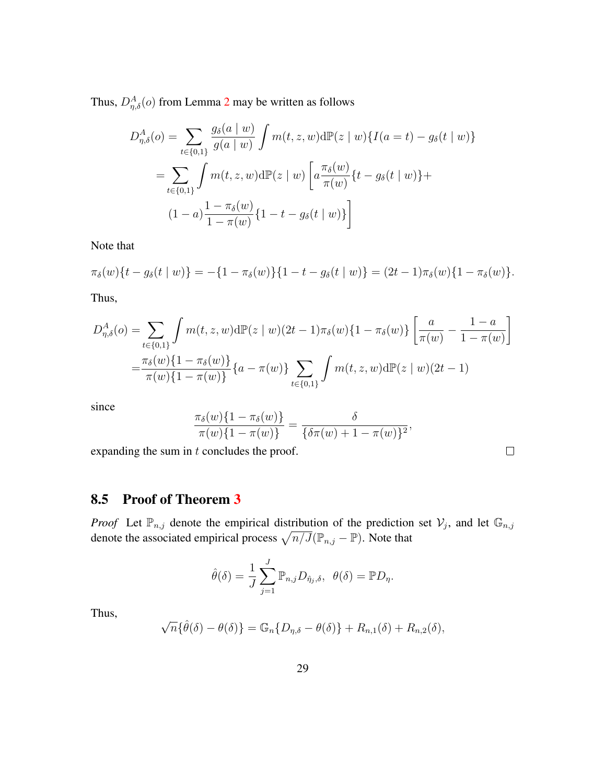Thus,  $D_{\eta,\delta}^{A}(o)$  from Lemma [2](#page-11-1) may be written as follows

$$
D_{\eta,\delta}^{A}(o) = \sum_{t \in \{0,1\}} \frac{g_{\delta}(a \mid w)}{g(a \mid w)} \int m(t, z, w) d\mathbb{P}(z \mid w) \{I(a = t) - g_{\delta}(t \mid w)\}
$$
  
= 
$$
\sum_{t \in \{0,1\}} \int m(t, z, w) d\mathbb{P}(z \mid w) \left[a \frac{\pi_{\delta}(w)}{\pi(w)} \{t - g_{\delta}(t \mid w)\} + (1 - a) \frac{1 - \pi_{\delta}(w)}{1 - \pi(w)} \{1 - t - g_{\delta}(t \mid w)\}\right]
$$

Note that

$$
\pi_{\delta}(w)\{t - g_{\delta}(t \mid w)\} = -\{1 - \pi_{\delta}(w)\}\{1 - t - g_{\delta}(t \mid w)\} = (2t - 1)\pi_{\delta}(w)\{1 - \pi_{\delta}(w)\}.
$$

Thus,

$$
D_{\eta,\delta}^A(o) = \sum_{t \in \{0,1\}} \int m(t,z,w) d\mathbb{P}(z \mid w)(2t-1)\pi_{\delta}(w) \{1-\pi_{\delta}(w)\} \left[\frac{a}{\pi(w)} - \frac{1-a}{1-\pi(w)}\right]
$$

$$
= \frac{\pi_{\delta}(w)\{1-\pi_{\delta}(w)\}}{\pi(w)\{1-\pi(w)\}} \{a-\pi(w)\} \sum_{t \in \{0,1\}} \int m(t,z,w) d\mathbb{P}(z \mid w)(2t-1)
$$

since

$$
\frac{\pi_{\delta}(w)\{1-\pi_{\delta}(w)\}}{\pi(w)\{1-\pi(w)\}} = \frac{\delta}{\{\delta\pi(w)+1-\pi(w)\}^2},
$$

 $\Box$ 

expanding the sum in  $t$  concludes the proof.

### 8.5 Proof of Theorem [3](#page-15-0)

*Proof* Let  $\mathbb{P}_{n,j}$  denote the empirical distribution of the prediction set  $\mathcal{V}_j$ , and let  $\mathbb{G}_{n,j}$ denote the associated empirical process  $\sqrt{n/J}(\mathbb{P}_{n,j} - \mathbb{P})$ . Note that

$$
\hat{\theta}(\delta) = \frac{1}{J} \sum_{j=1}^{J} \mathbb{P}_{n,j} D_{\hat{\eta}_j, \delta}, \ \ \theta(\delta) = \mathbb{P} D_{\eta}.
$$

Thus,

$$
\sqrt{n}\{\hat{\theta}(\delta) - \theta(\delta)\} = \mathbb{G}_n\{D_{\eta,\delta} - \theta(\delta)\} + R_{n,1}(\delta) + R_{n,2}(\delta),
$$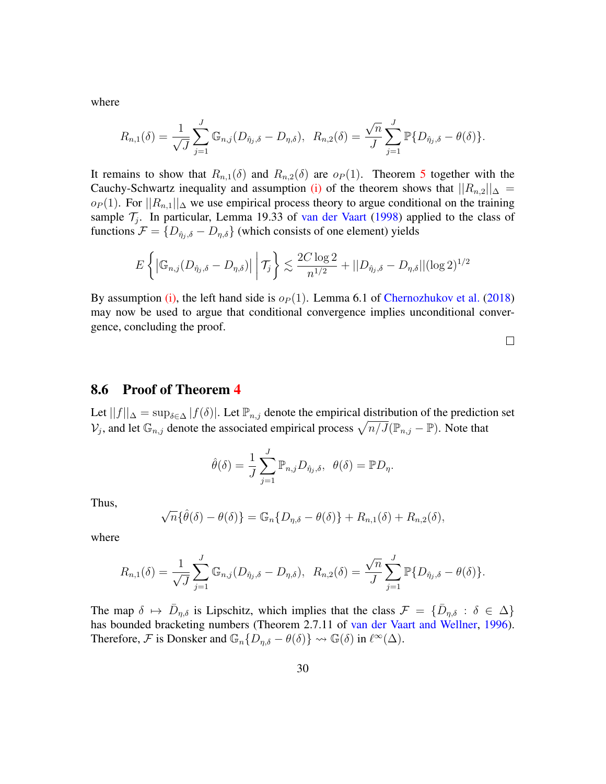where

$$
R_{n,1}(\delta) = \frac{1}{\sqrt{J}} \sum_{j=1}^{J} \mathbb{G}_{n,j} (D_{\hat{\eta}_j, \delta} - D_{\eta, \delta}), \ \ R_{n,2}(\delta) = \frac{\sqrt{n}}{J} \sum_{j=1}^{J} \mathbb{P} \{ D_{\hat{\eta}_j, \delta} - \theta(\delta) \}.
$$

It remains to show that  $R_{n,1}(\delta)$  and  $R_{n,2}(\delta)$  are  $o_P(1)$ . Theorem [5](#page-30-0) together with the Cauchy-Schwartz inequality and assumption [\(i\)](#page-15-1) of the theorem shows that  $||R_{n,2}||_{\Delta} =$  $o_P(1)$ . For  $||R_{n,1}||_{\Delta}$  we use empirical process theory to argue conditional on the training sample  $\mathcal{T}_j$ . In particular, Lemma 19.33 of [van der Vaart](#page-39-12) [\(1998\)](#page-39-12) applied to the class of functions  $\mathcal{F} = \{D_{\hat{\eta}_j,\delta} - D_{\eta,\delta}\}\$  (which consists of one element) yields

$$
E\left\{ \left| \mathbb{G}_{n,j}(D_{\hat{\eta}_j,\delta} - D_{\eta,\delta}) \right| \, \middle| \, \mathcal{T}_j \right\} \lesssim \frac{2C\log 2}{n^{1/2}} + ||D_{\hat{\eta}_j,\delta} - D_{\eta,\delta}||(\log 2)^{1/2}
$$

By assumption [\(i\),](#page-15-1) the left hand side is  $o_P(1)$ . Lemma 6.1 of [Chernozhukov et al.](#page-34-2) [\(2018\)](#page-34-2) may now be used to argue that conditional convergence implies unconditional convergence, concluding the proof.

 $\Box$ 

#### 8.6 Proof of Theorem [4](#page-16-0)

Let  $||f||_{\Delta} = \sup_{\delta \in \Delta} |f(\delta)|$ . Let  $\mathbb{P}_{n,j}$  denote the empirical distribution of the prediction set  $\mathcal{V}_j$ , and let  $\mathbb{G}_{n,j}$  denote the associated empirical process  $\sqrt{n/J}(\mathbb{P}_{n,j}-\mathbb{P})$ . Note that

$$
\hat{\theta}(\delta) = \frac{1}{J} \sum_{j=1}^{J} \mathbb{P}_{n,j} D_{\hat{\eta}_j, \delta}, \ \ \theta(\delta) = \mathbb{P} D_{\eta}.
$$

Thus,

$$
\sqrt{n}\{\hat{\theta}(\delta) - \theta(\delta)\} = \mathbb{G}_n\{D_{\eta,\delta} - \theta(\delta)\} + R_{n,1}(\delta) + R_{n,2}(\delta),
$$

where

$$
R_{n,1}(\delta) = \frac{1}{\sqrt{J}} \sum_{j=1}^{J} \mathbb{G}_{n,j} (D_{\hat{\eta}_j, \delta} - D_{\eta, \delta}), \ \ R_{n,2}(\delta) = \frac{\sqrt{n}}{J} \sum_{j=1}^{J} \mathbb{P} \{ D_{\hat{\eta}_j, \delta} - \theta(\delta) \}.
$$

The map  $\delta \mapsto \bar{D}_{\eta,\delta}$  is Lipschitz, which implies that the class  $\mathcal{F} = \{\bar{D}_{\eta,\delta} : \delta \in \Delta\}$ has bounded bracketing numbers (Theorem 2.7.11 of [van der Vaart and Wellner,](#page-39-9) [1996\)](#page-39-9). Therefore, F is Donsker and  $\mathbb{G}_n\{D_{\eta,\delta} - \theta(\delta)\} \rightsquigarrow \mathbb{G}(\delta)$  in  $\ell^{\infty}(\Delta)$ .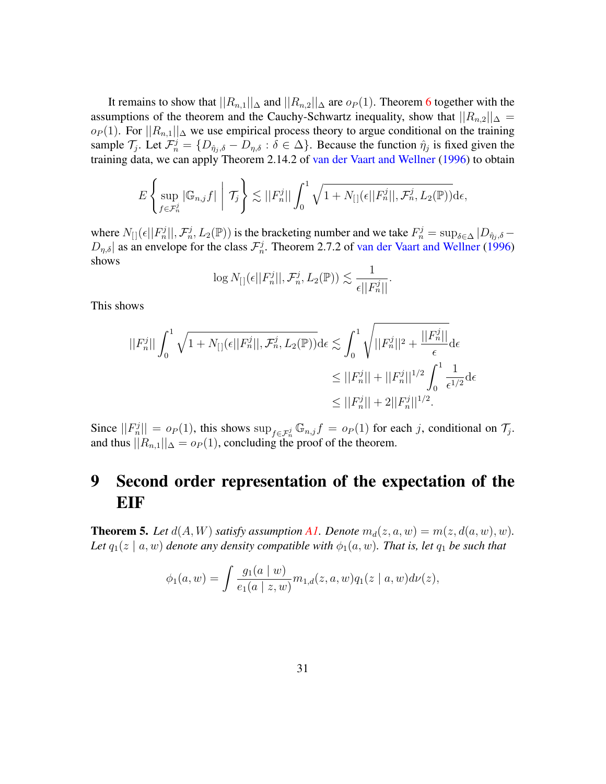It remains to show that  $||R_{n,1}||_{\Delta}$  and  $||R_{n,2}||_{\Delta}$  are  $o_P(1)$ . Theorem [6](#page-32-0) together with the assumptions of the theorem and the Cauchy-Schwartz inequality, show that  $||R_{n,2}||_{\Delta} =$  $o_P(1)$ . For  $||R_{n,1}||_{\Delta}$  we use empirical process theory to argue conditional on the training sample  $\mathcal{T}_j$ . Let  $\mathcal{F}_n^j = \{D_{\hat{\eta}_j,\delta} - D_{\eta,\delta} : \delta \in \Delta\}$ . Because the function  $\hat{\eta}_j$  is fixed given the training data, we can apply Theorem 2.14.2 of [van der Vaart and Wellner](#page-39-9) [\(1996\)](#page-39-9) to obtain

$$
E\left\{\sup_{f\in\mathcal{F}_n^j}|\mathbb{G}_{n,j}f|\middle|\mathcal{T}_j\right\}\lesssim||F_n^j||\int_0^1\sqrt{1+N_{[}(|\epsilon||F_n^j||,\mathcal{F}_n^j,L_2(\mathbb{P}))}\mathrm{d}\epsilon,
$$

where  $N_{[}](\epsilon || F_n^j ||, \mathcal{F}_n^j, L_2(\mathbb{P}))$  is the bracketing number and we take  $F_n^j = \sup_{\delta \in \Delta} |D_{\hat{\eta}_j, \delta} D_{\eta,\delta}$  as an envelope for the class  $\mathcal{F}_n^j$ . Theorem 2.7.2 of [van der Vaart and Wellner](#page-39-9) [\(1996\)](#page-39-9) shows

$$
\log N_{[}(\epsilon || F_n^j ||, \mathcal{F}_n^j, L_2(\mathbb{P})) \lesssim \frac{1}{\epsilon || F_n^j ||}.
$$

This shows

$$
||F_n^j|| \int_0^1 \sqrt{1 + N_{[}](\epsilon ||F_n^j||, \mathcal{F}_n^j, L_2(\mathbb{P}))} d\epsilon \lesssim \int_0^1 \sqrt{||F_n^j||^2 + \frac{||F_n^j||}{\epsilon}} d\epsilon
$$
  

$$
\leq ||F_n^j|| + ||F_n^j||^{1/2} \int_0^1 \frac{1}{\epsilon^{1/2}} d\epsilon
$$
  

$$
\leq ||F_n^j|| + 2||F_n^j||^{1/2}.
$$

Since  $||F_n^j|| = o_P(1)$ , this shows  $\sup_{f \in \mathcal{F}_n^j} \mathbb{G}_{n,j} f = o_P(1)$  for each j, conditional on  $\mathcal{T}_j$ . and thus  $||R_{n,1}||_{\Delta} = o_P(1)$ , concluding the proof of the theorem.

# 9 Second order representation of the expectation of the EIF

<span id="page-30-0"></span>**Theorem 5.** Let  $d(A, W)$  satisfy assumption [A1.](#page-7-0) Denote  $m_d(z, a, w) = m(z, d(a, w), w)$ . *Let*  $q_1(z \mid a, w)$  *denote any density compatible with*  $\phi_1(a, w)$ *. That is, let*  $q_1$  *be such that* 

$$
\phi_1(a, w) = \int \frac{g_1(a \mid w)}{e_1(a \mid z, w)} m_{1,d}(z, a, w) q_1(z \mid a, w) d\nu(z),
$$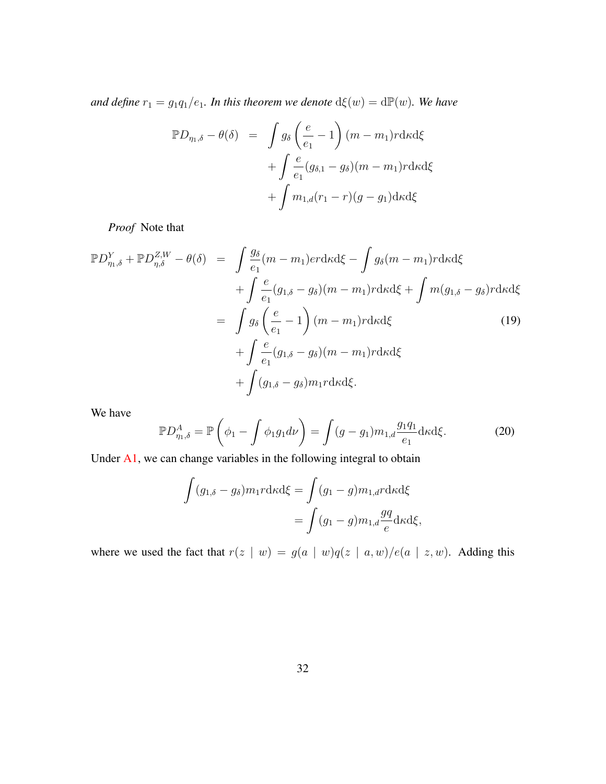*and define*  $r_1 = g_1 q_1/e_1$ *. In this theorem we denote*  $d\xi(w) = d\mathbb{P}(w)$ *. We have* 

$$
\mathbb{P}D_{\eta_1,\delta} - \theta(\delta) = \int g_{\delta}\left(\frac{e}{e_1} - 1\right) (m - m_1) r \, d\kappa \, d\xi
$$

$$
+ \int \frac{e}{e_1} (g_{\delta,1} - g_{\delta}) (m - m_1) r \, d\kappa \, d\xi
$$

$$
+ \int m_{1,d}(r_1 - r)(g - g_1) \, d\kappa \, d\xi
$$

*Proof* Note that

<span id="page-31-1"></span>
$$
\mathbb{P}D_{\eta,\delta}^{Y} + \mathbb{P}D_{\eta,\delta}^{ZW} - \theta(\delta) = \int \frac{g_{\delta}}{e_{1}}(m - m_{1})er d\kappa d\xi - \int g_{\delta}(m - m_{1})r d\kappa d\xi
$$

$$
+ \int \frac{e}{e_{1}}(g_{1,\delta} - g_{\delta})(m - m_{1})r d\kappa d\xi + \int m(g_{1,\delta} - g_{\delta})r d\kappa d\xi
$$

$$
= \int g_{\delta}\left(\frac{e}{e_{1}} - 1\right)(m - m_{1})r d\kappa d\xi
$$

$$
+ \int \frac{e}{e_{1}}(g_{1,\delta} - g_{\delta})(m - m_{1})r d\kappa d\xi
$$

$$
+ \int (g_{1,\delta} - g_{\delta})m_{1}r d\kappa d\xi.
$$
(19)

We have

<span id="page-31-0"></span>
$$
\mathbb{P}D_{\eta_1,\delta}^A = \mathbb{P}\left(\phi_1 - \int \phi_1 g_1 d\nu\right) = \int (g - g_1) m_{1,d} \frac{g_1 q_1}{e_1} d\kappa d\xi.
$$
 (20)

Under [A1,](#page-7-0) we can change variables in the following integral to obtain

$$
\int (g_{1,\delta} - g_{\delta}) m_1 r \, d\kappa \, d\xi = \int (g_1 - g) m_{1,d} r \, d\kappa \, d\xi
$$
\n
$$
= \int (g_1 - g) m_{1,d} \frac{g q}{e} \, d\kappa \, d\xi,
$$

where we used the fact that  $r(z | w) = g(a | w)q(z | a, w)/e(a | z, w)$ . Adding this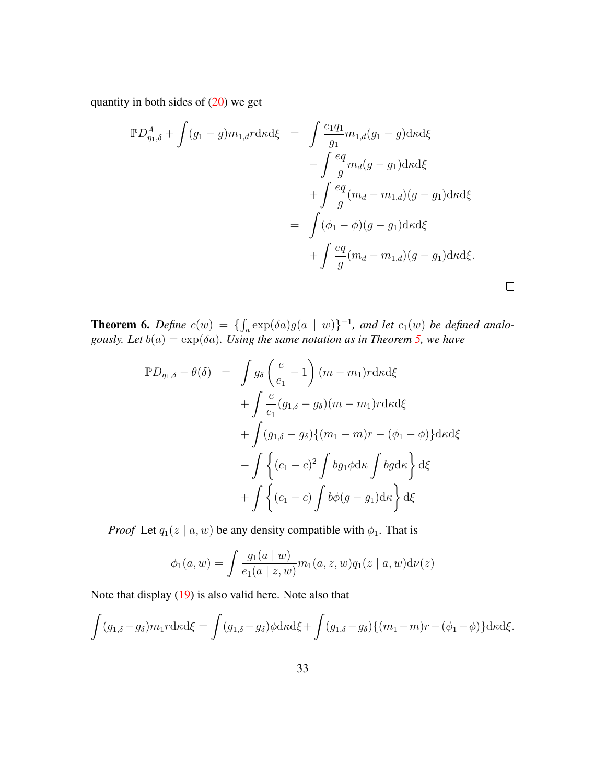quantity in both sides of  $(20)$  we get

$$
\mathbb{P}D_{\eta_{1},\delta}^{A} + \int (g_{1} - g)m_{1,d}r \, dx \, d\xi = \int \frac{e_{1}q_{1}}{g_{1}} m_{1,d}(g_{1} - g) \, dx \, d\xi
$$

$$
- \int \frac{eq}{g} m_{d}(g - g_{1}) \, dx \, d\xi
$$

$$
+ \int \frac{eq}{g} (m_{d} - m_{1,d})(g - g_{1}) \, dx \, d\xi
$$

$$
= \int (\phi_{1} - \phi)(g - g_{1}) \, dx \, d\xi
$$

$$
+ \int \frac{eq}{g} (m_{d} - m_{1,d})(g - g_{1}) \, dx \, d\xi.
$$

<span id="page-32-0"></span>**Theorem 6.** Define  $c(w) = \{ \int_a \exp(\delta a) g(a \mid w) \}^{-1}$ , and let  $c_1(w)$  be defined analo*gously. Let*  $b(a) = \exp(\delta a)$ *. Using the same notation as in Theorem [5,](#page-30-0) we have* 

$$
\mathbb{P}D_{\eta_1,\delta} - \theta(\delta) = \int g_{\delta} \left( \frac{e}{e_1} - 1 \right) (m - m_1) r \, d\kappa d\xi
$$

$$
+ \int \frac{e}{e_1} (g_{1,\delta} - g_{\delta}) (m - m_1) r \, d\kappa d\xi
$$

$$
+ \int (g_{1,\delta} - g_{\delta}) \{ (m_1 - m) r - (\phi_1 - \phi) \} d\kappa d\xi
$$

$$
- \int \left\{ (c_1 - c)^2 \int bg_1 \phi d\kappa \int bg d\kappa \right\} d\xi
$$

$$
+ \int \left\{ (c_1 - c) \int b\phi (g - g_1) d\kappa \right\} d\xi
$$

*Proof* Let  $q_1(z \mid a, w)$  be any density compatible with  $\phi_1$ . That is

$$
\phi_1(a, w) = \int \frac{g_1(a \mid w)}{e_1(a \mid z, w)} m_1(a, z, w) q_1(z \mid a, w) d\nu(z)
$$

Note that display [\(19\)](#page-31-1) is also valid here. Note also that

$$
\int (g_{1,\delta} - g_{\delta}) m_1 r \, d\kappa d\xi = \int (g_{1,\delta} - g_{\delta}) \phi d\kappa d\xi + \int (g_{1,\delta} - g_{\delta}) \{ (m_1 - m)r - (\phi_1 - \phi) \} d\kappa d\xi.
$$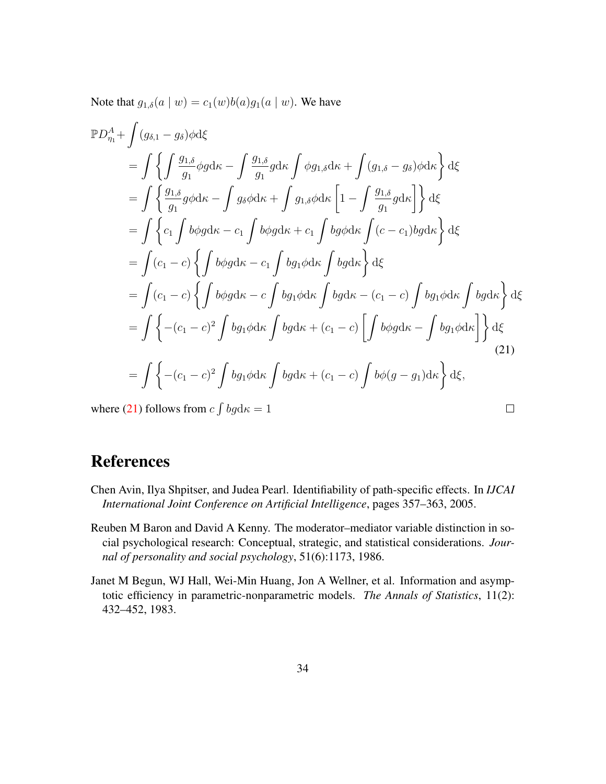Note that  $g_{1,\delta}(a \mid w) = c_1(w)b(a)g_1(a \mid w)$ . We have

$$
\mathbb{P}D_{\eta_1}^A + \int (g_{\delta,1} - g_{\delta})\phi \,d\xi
$$
\n
$$
= \int \left\{ \int \frac{g_{1,\delta}}{g_1} \phi g \,d\kappa - \int \frac{g_{1,\delta}}{g_1} g \,d\kappa \int \phi g_{1,\delta} \,d\kappa + \int (g_{1,\delta} - g_{\delta})\phi \,d\kappa \right\} \,d\xi
$$
\n
$$
= \int \left\{ \frac{g_{1,\delta}}{g_1} g \phi \,d\kappa - \int g_{\delta} \phi \,d\kappa + \int g_{1,\delta} \phi \,d\kappa \left[ 1 - \int \frac{g_{1,\delta}}{g_1} g \,d\kappa \right] \right\} \,d\xi
$$
\n
$$
= \int \left\{ c_1 \int b\phi g \,d\kappa - c_1 \int b\phi g \,d\kappa + c_1 \int b g \phi \,d\kappa \int (c - c_1) b g \,d\kappa \right\} \,d\xi
$$
\n
$$
= \int (c_1 - c) \left\{ \int b\phi g \,d\kappa - c_1 \int b g_1 \phi \,d\kappa \int b g \,d\kappa \right\} \,d\xi
$$
\n
$$
= \int (c_1 - c) \left\{ \int b\phi g \,d\kappa - c \int b g_1 \phi \,d\kappa \int b g \,d\kappa - (c_1 - c) \int b g_1 \phi \,d\kappa \int b g \,d\kappa \right\} \,d\xi
$$
\n
$$
= \int \left\{ -(c_1 - c)^2 \int b g_1 \phi \,d\kappa \int b g \,d\kappa + (c_1 - c) \left[ \int b\phi g \,d\kappa - \int b g_1 \phi \,d\kappa \right] \right\} \,d\xi
$$
\n
$$
= \int \left\{ -(c_1 - c)^2 \int b g_1 \phi \,d\kappa \int b g \,d\kappa + (c_1 - c) \int b \phi (g - g_1) \,d\kappa \right\} \,d\xi
$$
\n
$$
\text{where (21) follows from } c \int b g \,d\kappa = 1
$$

<span id="page-33-3"></span>where [\(21\)](#page-33-3) follows from  $c \int bg \, dx = 1$ 

# References

- <span id="page-33-2"></span>Chen Avin, Ilya Shpitser, and Judea Pearl. Identifiability of path-specific effects. In *IJCAI International Joint Conference on Artificial Intelligence*, pages 357–363, 2005.
- <span id="page-33-0"></span>Reuben M Baron and David A Kenny. The moderator–mediator variable distinction in social psychological research: Conceptual, strategic, and statistical considerations. *Journal of personality and social psychology*, 51(6):1173, 1986.
- <span id="page-33-1"></span>Janet M Begun, WJ Hall, Wei-Min Huang, Jon A Wellner, et al. Information and asymptotic efficiency in parametric-nonparametric models. *The Annals of Statistics*, 11(2): 432–452, 1983.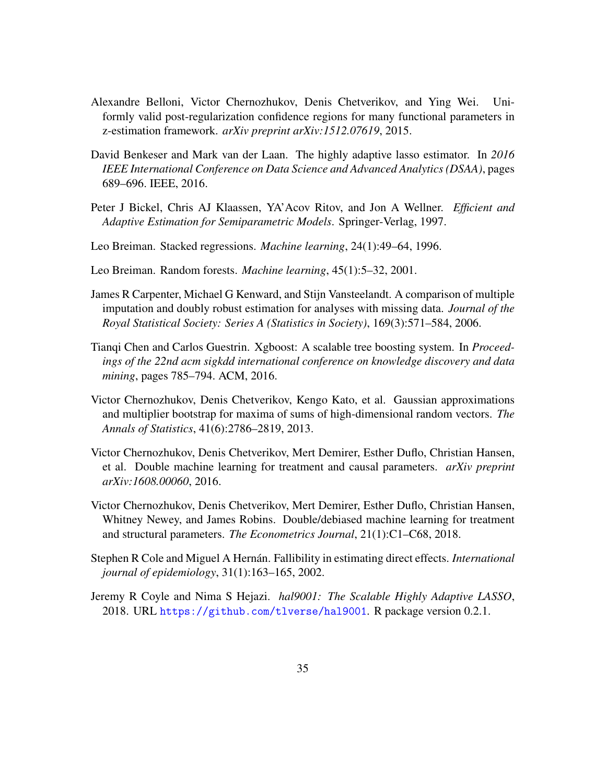- <span id="page-34-6"></span>Alexandre Belloni, Victor Chernozhukov, Denis Chetverikov, and Ying Wei. Uniformly valid post-regularization confidence regions for many functional parameters in z-estimation framework. *arXiv preprint arXiv:1512.07619*, 2015.
- <span id="page-34-7"></span>David Benkeser and Mark van der Laan. The highly adaptive lasso estimator. In *2016 IEEE International Conference on Data Science and Advanced Analytics (DSAA)*, pages 689–696. IEEE, 2016.
- <span id="page-34-1"></span>Peter J Bickel, Chris AJ Klaassen, YA'Acov Ritov, and Jon A Wellner. *Efficient and Adaptive Estimation for Semiparametric Models*. Springer-Verlag, 1997.
- <span id="page-34-3"></span>Leo Breiman. Stacked regressions. *Machine learning*, 24(1):49–64, 1996.
- <span id="page-34-9"></span>Leo Breiman. Random forests. *Machine learning*, 45(1):5–32, 2001.
- <span id="page-34-8"></span>James R Carpenter, Michael G Kenward, and Stijn Vansteelandt. A comparison of multiple imputation and doubly robust estimation for analyses with missing data. *Journal of the Royal Statistical Society: Series A (Statistics in Society)*, 169(3):571–584, 2006.
- <span id="page-34-10"></span>Tianqi Chen and Carlos Guestrin. Xgboost: A scalable tree boosting system. In *Proceedings of the 22nd acm sigkdd international conference on knowledge discovery and data mining*, pages 785–794. ACM, 2016.
- <span id="page-34-5"></span>Victor Chernozhukov, Denis Chetverikov, Kengo Kato, et al. Gaussian approximations and multiplier bootstrap for maxima of sums of high-dimensional random vectors. *The Annals of Statistics*, 41(6):2786–2819, 2013.
- <span id="page-34-4"></span>Victor Chernozhukov, Denis Chetverikov, Mert Demirer, Esther Duflo, Christian Hansen, et al. Double machine learning for treatment and causal parameters. *arXiv preprint arXiv:1608.00060*, 2016.
- <span id="page-34-2"></span>Victor Chernozhukov, Denis Chetverikov, Mert Demirer, Esther Duflo, Christian Hansen, Whitney Newey, and James Robins. Double/debiased machine learning for treatment and structural parameters. *The Econometrics Journal*, 21(1):C1–C68, 2018.
- <span id="page-34-0"></span>Stephen R Cole and Miguel A Hernán. Fallibility in estimating direct effects. *International journal of epidemiology*, 31(1):163–165, 2002.
- <span id="page-34-11"></span>Jeremy R Coyle and Nima S Hejazi. *hal9001: The Scalable Highly Adaptive LASSO*, 2018. URL <https://github.com/tlverse/hal9001>. R package version 0.2.1.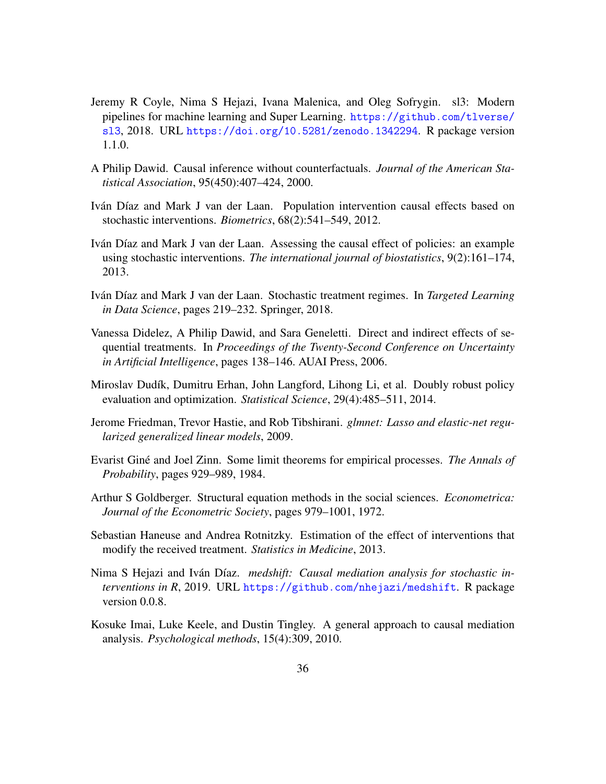- <span id="page-35-11"></span>Jeremy R Coyle, Nima S Hejazi, Ivana Malenica, and Oleg Sofrygin. sl3: Modern pipelines for machine learning and Super Learning. [https://github.com/tlverse/](https://github.com/tlverse/sl3) [sl3](https://github.com/tlverse/sl3), 2018. URL <https://doi.org/10.5281/zenodo.1342294>. R package version 1.1.0.
- <span id="page-35-1"></span>A Philip Dawid. Causal inference without counterfactuals. *Journal of the American Statistical Association*, 95(450):407–424, 2000.
- <span id="page-35-7"></span>Iván Díaz and Mark J van der Laan. Population intervention causal effects based on stochastic interventions. *Biometrics*, 68(2):541–549, 2012.
- <span id="page-35-4"></span>Iván Díaz and Mark J van der Laan. Assessing the causal effect of policies: an example using stochastic interventions. *The international journal of biostatistics*, 9(2):161–174, 2013.
- <span id="page-35-8"></span>Iván Díaz and Mark J van der Laan. Stochastic treatment regimes. In *Targeted Learning in Data Science*, pages 219–232. Springer, 2018.
- <span id="page-35-3"></span>Vanessa Didelez, A Philip Dawid, and Sara Geneletti. Direct and indirect effects of sequential treatments. In *Proceedings of the Twenty-Second Conference on Uncertainty in Artificial Intelligence*, pages 138–146. AUAI Press, 2006.
- <span id="page-35-5"></span>Miroslav Dudík, Dumitru Erhan, John Langford, Lihong Li, et al. Doubly robust policy evaluation and optimization. *Statistical Science*, 29(4):485–511, 2014.
- <span id="page-35-12"></span>Jerome Friedman, Trevor Hastie, and Rob Tibshirani. *glmnet: Lasso and elastic-net regularized generalized linear models*, 2009.
- <span id="page-35-9"></span>Evarist Gine and Joel Zinn. Some limit theorems for empirical processes. ´ *The Annals of Probability*, pages 929–989, 1984.
- <span id="page-35-0"></span>Arthur S Goldberger. Structural equation methods in the social sciences. *Econometrica: Journal of the Econometric Society*, pages 979–1001, 1972.
- <span id="page-35-6"></span>Sebastian Haneuse and Andrea Rotnitzky. Estimation of the effect of interventions that modify the received treatment. *Statistics in Medicine*, 2013.
- <span id="page-35-10"></span>Nima S Hejazi and Iván Díaz. *medshift: Causal mediation analysis for stochastic interventions in R*, 2019. URL <https://github.com/nhejazi/medshift>. R package version 0.0.8.
- <span id="page-35-2"></span>Kosuke Imai, Luke Keele, and Dustin Tingley. A general approach to causal mediation analysis. *Psychological methods*, 15(4):309, 2010.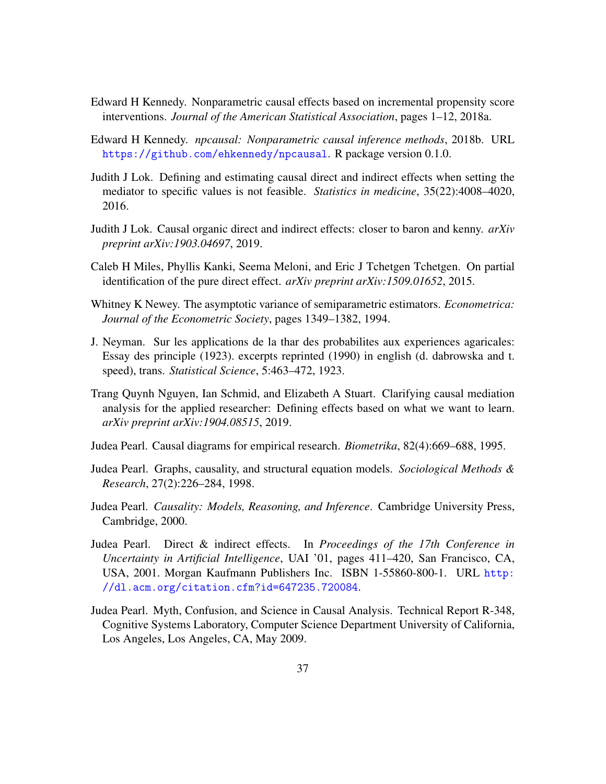- <span id="page-36-7"></span>Edward H Kennedy. Nonparametric causal effects based on incremental propensity score interventions. *Journal of the American Statistical Association*, pages 1–12, 2018a.
- <span id="page-36-12"></span>Edward H Kennedy. *npcausal: Nonparametric causal inference methods*, 2018b. URL <https://github.com/ehkennedy/npcausal>. R package version 0.1.0.
- <span id="page-36-8"></span>Judith J Lok. Defining and estimating causal direct and indirect effects when setting the mediator to specific values is not feasible. *Statistics in medicine*, 35(22):4008–4020, 2016.
- <span id="page-36-9"></span>Judith J Lok. Causal organic direct and indirect effects: closer to baron and kenny. *arXiv preprint arXiv:1903.04697*, 2019.
- <span id="page-36-5"></span>Caleb H Miles, Phyllis Kanki, Seema Meloni, and Eric J Tchetgen Tchetgen. On partial identification of the pure direct effect. *arXiv preprint arXiv:1509.01652*, 2015.
- <span id="page-36-11"></span>Whitney K Newey. The asymptotic variance of semiparametric estimators. *Econometrica: Journal of the Econometric Society*, pages 1349–1382, 1994.
- <span id="page-36-0"></span>J. Neyman. Sur les applications de la thar des probabilites aux experiences agaricales: Essay des principle (1923). excerpts reprinted (1990) in english (d. dabrowska and t. speed), trans. *Statistical Science*, 5:463–472, 1923.
- <span id="page-36-10"></span>Trang Quynh Nguyen, Ian Schmid, and Elizabeth A Stuart. Clarifying causal mediation analysis for the applied researcher: Defining effects based on what we want to learn. *arXiv preprint arXiv:1904.08515*, 2019.
- <span id="page-36-1"></span>Judea Pearl. Causal diagrams for empirical research. *Biometrika*, 82(4):669–688, 1995.
- <span id="page-36-3"></span>Judea Pearl. Graphs, causality, and structural equation models. *Sociological Methods & Research*, 27(2):226–284, 1998.
- <span id="page-36-2"></span>Judea Pearl. *Causality: Models, Reasoning, and Inference*. Cambridge University Press, Cambridge, 2000.
- <span id="page-36-4"></span>Judea Pearl. Direct & indirect effects. In *Proceedings of the 17th Conference in Uncertainty in Artificial Intelligence*, UAI '01, pages 411–420, San Francisco, CA, USA, 2001. Morgan Kaufmann Publishers Inc. ISBN 1-55860-800-1. URL [http:](http://dl.acm.org/citation.cfm?id=647235.720084) [//dl.acm.org/citation.cfm?id=647235.720084](http://dl.acm.org/citation.cfm?id=647235.720084).
- <span id="page-36-6"></span>Judea Pearl. Myth, Confusion, and Science in Causal Analysis. Technical Report R-348, Cognitive Systems Laboratory, Computer Science Department University of California, Los Angeles, Los Angeles, CA, May 2009.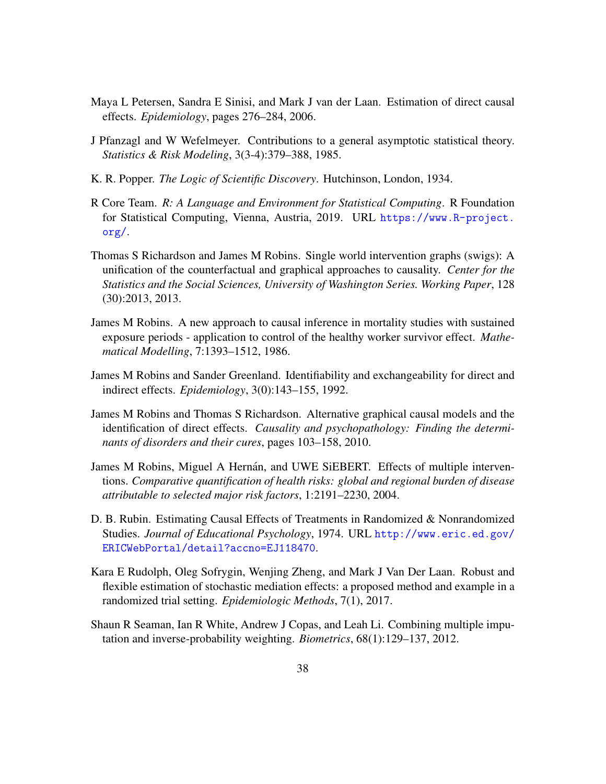- <span id="page-37-6"></span>Maya L Petersen, Sandra E Sinisi, and Mark J van der Laan. Estimation of direct causal effects. *Epidemiology*, pages 276–284, 2006.
- <span id="page-37-9"></span>J Pfanzagl and W Wefelmeyer. Contributions to a general asymptotic statistical theory. *Statistics & Risk Modeling*, 3(3-4):379–388, 1985.
- <span id="page-37-4"></span>K. R. Popper. *The Logic of Scientific Discovery*. Hutchinson, London, 1934.
- <span id="page-37-10"></span>R Core Team. *R: A Language and Environment for Statistical Computing*. R Foundation for Statistical Computing, Vienna, Austria, 2019. URL [https://www.R-project.](https://www.R-project.org/) [org/](https://www.R-project.org/).
- <span id="page-37-2"></span>Thomas S Richardson and James M Robins. Single world intervention graphs (swigs): A unification of the counterfactual and graphical approaches to causality. *Center for the Statistics and the Social Sciences, University of Washington Series. Working Paper*, 128 (30):2013, 2013.
- <span id="page-37-1"></span>James M Robins. A new approach to causal inference in mortality studies with sustained exposure periods - application to control of the healthy worker survivor effect. *Mathematical Modelling*, 7:1393–1512, 1986.
- <span id="page-37-3"></span>James M Robins and Sander Greenland. Identifiability and exchangeability for direct and indirect effects. *Epidemiology*, 3(0):143–155, 1992.
- <span id="page-37-5"></span>James M Robins and Thomas S Richardson. Alternative graphical causal models and the identification of direct effects. *Causality and psychopathology: Finding the determinants of disorders and their cures*, pages 103–158, 2010.
- <span id="page-37-7"></span>James M Robins, Miguel A Hernán, and UWE SiEBERT. Effects of multiple interventions. *Comparative quantification of health risks: global and regional burden of disease attributable to selected major risk factors*, 1:2191–2230, 2004.
- <span id="page-37-0"></span>D. B. Rubin. Estimating Causal Effects of Treatments in Randomized & Nonrandomized Studies. *Journal of Educational Psychology*, 1974. URL [http://www.eric.ed.gov/](http://www.eric.ed.gov/ERICWebPortal/detail?accno=EJ118470) [ERICWebPortal/detail?accno=EJ118470](http://www.eric.ed.gov/ERICWebPortal/detail?accno=EJ118470).
- <span id="page-37-8"></span>Kara E Rudolph, Oleg Sofrygin, Wenjing Zheng, and Mark J Van Der Laan. Robust and flexible estimation of stochastic mediation effects: a proposed method and example in a randomized trial setting. *Epidemiologic Methods*, 7(1), 2017.
- <span id="page-37-11"></span>Shaun R Seaman, Ian R White, Andrew J Copas, and Leah Li. Combining multiple imputation and inverse-probability weighting. *Biometrics*, 68(1):129–137, 2012.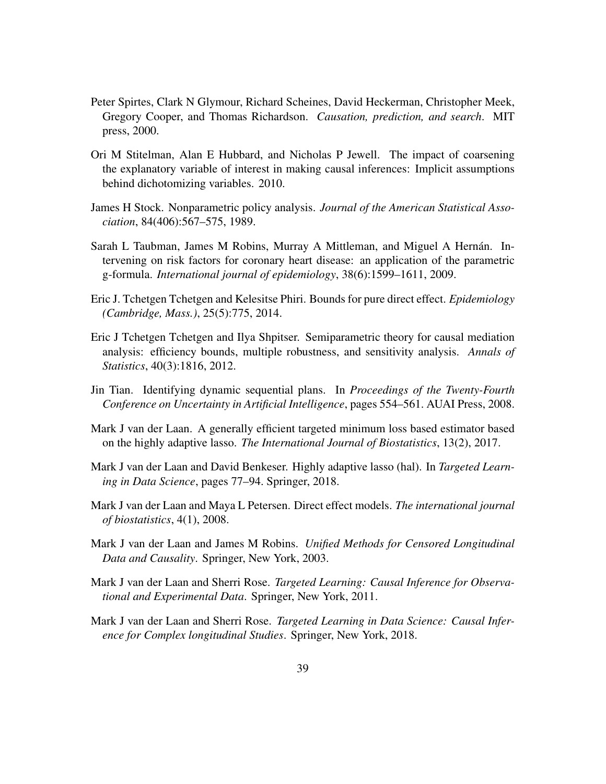- <span id="page-38-0"></span>Peter Spirtes, Clark N Glymour, Richard Scheines, David Heckerman, Christopher Meek, Gregory Cooper, and Thomas Richardson. *Causation, prediction, and search*. MIT press, 2000.
- <span id="page-38-6"></span>Ori M Stitelman, Alan E Hubbard, and Nicholas P Jewell. The impact of coarsening the explanatory variable of interest in making causal inferences: Implicit assumptions behind dichotomizing variables. 2010.
- <span id="page-38-3"></span>James H Stock. Nonparametric policy analysis. *Journal of the American Statistical Association*, 84(406):567–575, 1989.
- <span id="page-38-5"></span>Sarah L Taubman, James M Robins, Murray A Mittleman, and Miguel A Hernán. Intervening on risk factors for coronary heart disease: an application of the parametric g-formula. *International journal of epidemiology*, 38(6):1599–1611, 2009.
- <span id="page-38-1"></span>Eric J. Tchetgen Tchetgen and Kelesitse Phiri. Bounds for pure direct effect. *Epidemiology (Cambridge, Mass.)*, 25(5):775, 2014.
- <span id="page-38-10"></span>Eric J Tchetgen Tchetgen and Ilya Shpitser. Semiparametric theory for causal mediation analysis: efficiency bounds, multiple robustness, and sensitivity analysis. *Annals of Statistics*, 40(3):1816, 2012.
- <span id="page-38-4"></span>Jin Tian. Identifying dynamic sequential plans. In *Proceedings of the Twenty-Fourth Conference on Uncertainty in Artificial Intelligence*, pages 554–561. AUAI Press, 2008.
- <span id="page-38-11"></span>Mark J van der Laan. A generally efficient targeted minimum loss based estimator based on the highly adaptive lasso. *The International Journal of Biostatistics*, 13(2), 2017.
- <span id="page-38-12"></span>Mark J van der Laan and David Benkeser. Highly adaptive lasso (hal). In *Targeted Learning in Data Science*, pages 77–94. Springer, 2018.
- <span id="page-38-2"></span>Mark J van der Laan and Maya L Petersen. Direct effect models. *The international journal of biostatistics*, 4(1), 2008.
- <span id="page-38-9"></span>Mark J van der Laan and James M Robins. *Unified Methods for Censored Longitudinal Data and Causality*. Springer, New York, 2003.
- <span id="page-38-7"></span>Mark J van der Laan and Sherri Rose. *Targeted Learning: Causal Inference for Observational and Experimental Data*. Springer, New York, 2011.
- <span id="page-38-8"></span>Mark J van der Laan and Sherri Rose. *Targeted Learning in Data Science: Causal Inference for Complex longitudinal Studies*. Springer, New York, 2018.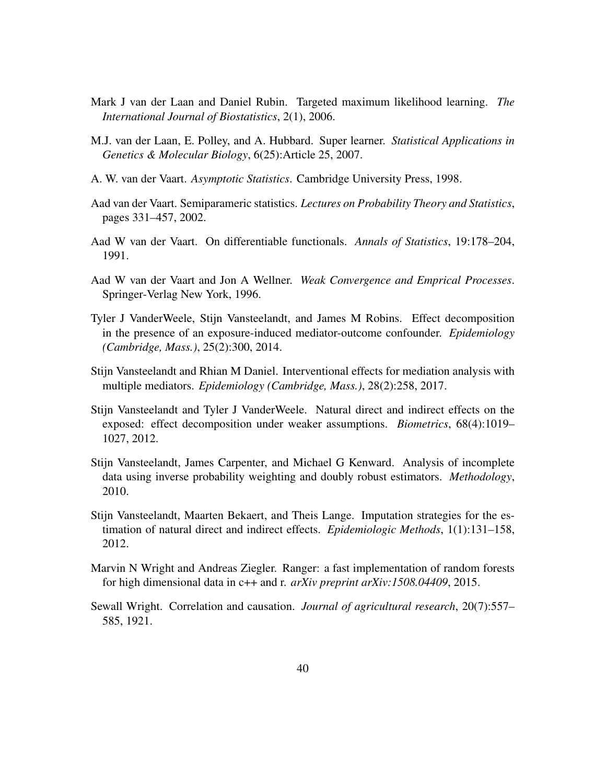- <span id="page-39-6"></span>Mark J van der Laan and Daniel Rubin. Targeted maximum likelihood learning. *The International Journal of Biostatistics*, 2(1), 2006.
- <span id="page-39-8"></span>M.J. van der Laan, E. Polley, and A. Hubbard. Super learner. *Statistical Applications in Genetics & Molecular Biology*, 6(25):Article 25, 2007.
- <span id="page-39-12"></span>A. W. van der Vaart. *Asymptotic Statistics*. Cambridge University Press, 1998.
- <span id="page-39-7"></span>Aad van der Vaart. Semiparameric statistics. *Lectures on Probability Theory and Statistics*, pages 331–457, 2002.
- <span id="page-39-5"></span>Aad W van der Vaart. On differentiable functionals. *Annals of Statistics*, 19:178–204, 1991.
- <span id="page-39-9"></span>Aad W van der Vaart and Jon A Wellner. *Weak Convergence and Emprical Processes*. Springer-Verlag New York, 1996.
- <span id="page-39-2"></span>Tyler J VanderWeele, Stijn Vansteelandt, and James M Robins. Effect decomposition in the presence of an exposure-induced mediator-outcome confounder. *Epidemiology (Cambridge, Mass.)*, 25(2):300, 2014.
- <span id="page-39-3"></span>Stijn Vansteelandt and Rhian M Daniel. Interventional effects for mediation analysis with multiple mediators. *Epidemiology (Cambridge, Mass.)*, 28(2):258, 2017.
- <span id="page-39-1"></span>Stijn Vansteelandt and Tyler J VanderWeele. Natural direct and indirect effects on the exposed: effect decomposition under weaker assumptions. *Biometrics*, 68(4):1019– 1027, 2012.
- <span id="page-39-10"></span>Stijn Vansteelandt, James Carpenter, and Michael G Kenward. Analysis of incomplete data using inverse probability weighting and doubly robust estimators. *Methodology*, 2010.
- <span id="page-39-4"></span>Stijn Vansteelandt, Maarten Bekaert, and Theis Lange. Imputation strategies for the estimation of natural direct and indirect effects. *Epidemiologic Methods*, 1(1):131–158, 2012.
- <span id="page-39-11"></span>Marvin N Wright and Andreas Ziegler. Ranger: a fast implementation of random forests for high dimensional data in c++ and r. *arXiv preprint arXiv:1508.04409*, 2015.
- <span id="page-39-0"></span>Sewall Wright. Correlation and causation. *Journal of agricultural research*, 20(7):557– 585, 1921.